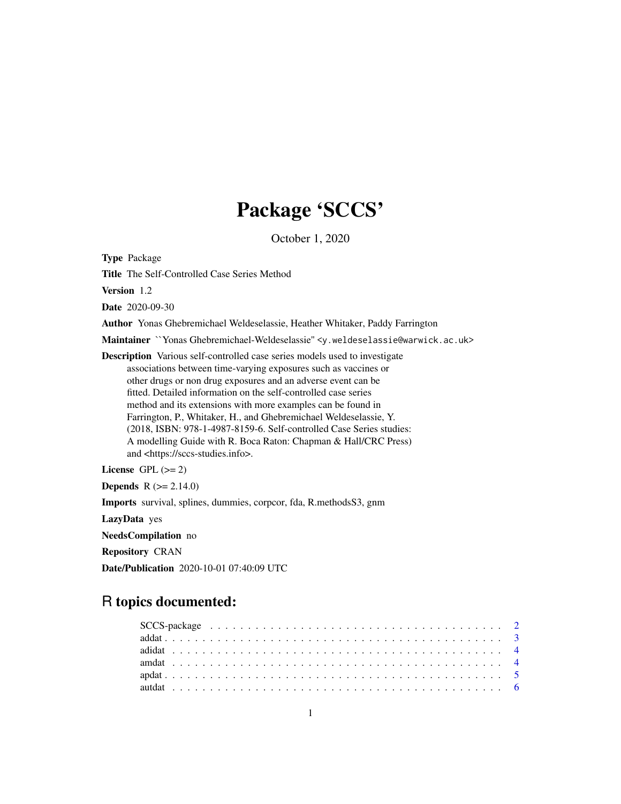# Package 'SCCS'

October 1, 2020

Type Package

Title The Self-Controlled Case Series Method

Version 1.2

Date 2020-09-30

Author Yonas Ghebremichael Weldeselassie, Heather Whitaker, Paddy Farrington

Maintainer ``Yonas Ghebremichael-Weldeselassie'' <y.weldeselassie@warwick.ac.uk>

Description Various self-controlled case series models used to investigate associations between time-varying exposures such as vaccines or other drugs or non drug exposures and an adverse event can be fitted. Detailed information on the self-controlled case series method and its extensions with more examples can be found in Farrington, P., Whitaker, H., and Ghebremichael Weldeselassie, Y. (2018, ISBN: 978-1-4987-8159-6. Self-controlled Case Series studies: A modelling Guide with R. Boca Raton: Chapman & Hall/CRC Press) and <https://sccs-studies.info>.

License GPL  $(>= 2)$ 

**Depends** R  $(>= 2.14.0)$ 

Imports survival, splines, dummies, corpcor, fda, R.methodsS3, gnm

LazyData yes

NeedsCompilation no

Repository CRAN

Date/Publication 2020-10-01 07:40:09 UTC

# R topics documented: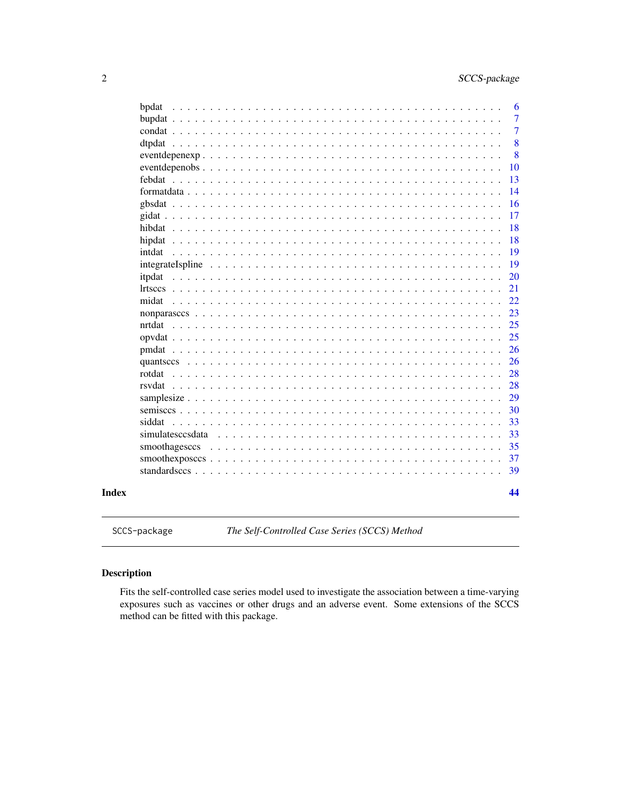<span id="page-1-0"></span>

| bpdat  |                  |  |  |  |  |  |  |  |  |  |  |  |  |  |  |  |  |  | 6              |
|--------|------------------|--|--|--|--|--|--|--|--|--|--|--|--|--|--|--|--|--|----------------|
|        |                  |  |  |  |  |  |  |  |  |  |  |  |  |  |  |  |  |  | $\overline{7}$ |
|        |                  |  |  |  |  |  |  |  |  |  |  |  |  |  |  |  |  |  | $\overline{7}$ |
|        |                  |  |  |  |  |  |  |  |  |  |  |  |  |  |  |  |  |  | 8              |
|        |                  |  |  |  |  |  |  |  |  |  |  |  |  |  |  |  |  |  | 8              |
|        |                  |  |  |  |  |  |  |  |  |  |  |  |  |  |  |  |  |  | 10             |
|        |                  |  |  |  |  |  |  |  |  |  |  |  |  |  |  |  |  |  | 13             |
|        |                  |  |  |  |  |  |  |  |  |  |  |  |  |  |  |  |  |  | 14             |
|        |                  |  |  |  |  |  |  |  |  |  |  |  |  |  |  |  |  |  | 16             |
|        |                  |  |  |  |  |  |  |  |  |  |  |  |  |  |  |  |  |  | 17             |
|        |                  |  |  |  |  |  |  |  |  |  |  |  |  |  |  |  |  |  | 18             |
| hipdat |                  |  |  |  |  |  |  |  |  |  |  |  |  |  |  |  |  |  | 18             |
| intdat |                  |  |  |  |  |  |  |  |  |  |  |  |  |  |  |  |  |  | 19             |
|        |                  |  |  |  |  |  |  |  |  |  |  |  |  |  |  |  |  |  | 19             |
| itpdat |                  |  |  |  |  |  |  |  |  |  |  |  |  |  |  |  |  |  | 20             |
|        |                  |  |  |  |  |  |  |  |  |  |  |  |  |  |  |  |  |  | 21             |
| midat  |                  |  |  |  |  |  |  |  |  |  |  |  |  |  |  |  |  |  | 22             |
|        |                  |  |  |  |  |  |  |  |  |  |  |  |  |  |  |  |  |  | 23             |
| nrtdat |                  |  |  |  |  |  |  |  |  |  |  |  |  |  |  |  |  |  | 25             |
|        |                  |  |  |  |  |  |  |  |  |  |  |  |  |  |  |  |  |  | 25             |
|        |                  |  |  |  |  |  |  |  |  |  |  |  |  |  |  |  |  |  | 26             |
|        |                  |  |  |  |  |  |  |  |  |  |  |  |  |  |  |  |  |  | 26             |
| rotdat |                  |  |  |  |  |  |  |  |  |  |  |  |  |  |  |  |  |  | 28             |
|        |                  |  |  |  |  |  |  |  |  |  |  |  |  |  |  |  |  |  | 28             |
|        |                  |  |  |  |  |  |  |  |  |  |  |  |  |  |  |  |  |  | 29             |
|        |                  |  |  |  |  |  |  |  |  |  |  |  |  |  |  |  |  |  | 30             |
| siddat |                  |  |  |  |  |  |  |  |  |  |  |  |  |  |  |  |  |  | 33             |
|        | simulatesccsdata |  |  |  |  |  |  |  |  |  |  |  |  |  |  |  |  |  | 33             |
|        | smoothagesccs    |  |  |  |  |  |  |  |  |  |  |  |  |  |  |  |  |  | 35             |
|        |                  |  |  |  |  |  |  |  |  |  |  |  |  |  |  |  |  |  | 37             |
|        |                  |  |  |  |  |  |  |  |  |  |  |  |  |  |  |  |  |  | 39             |
|        |                  |  |  |  |  |  |  |  |  |  |  |  |  |  |  |  |  |  | 44             |

SCCS-package *The Self-Controlled Case Series (SCCS) Method*

# Description

Fits the self-controlled case series model used to investigate the association between a time-varying exposures such as vaccines or other drugs and an adverse event. Some extensions of the SCCS method can be fitted with this package.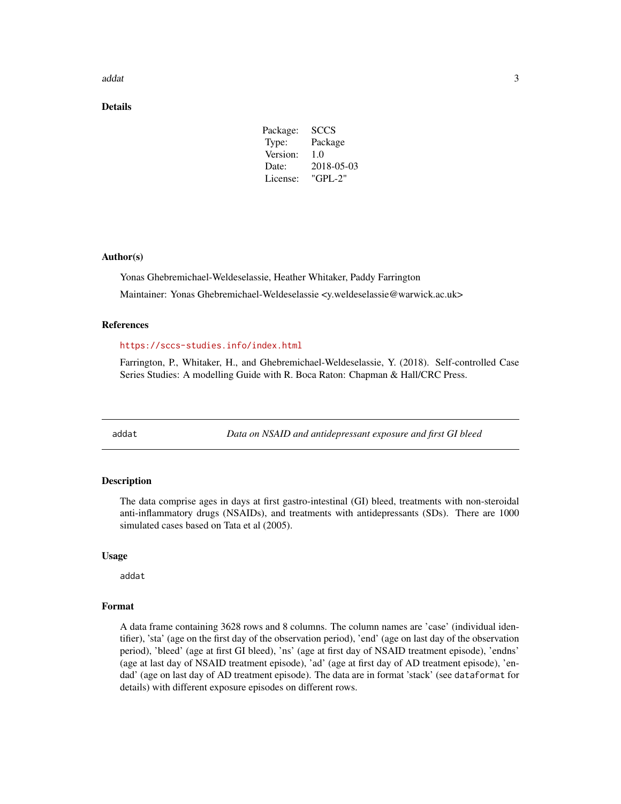#### <span id="page-2-0"></span> $\alpha$ ddat  $\beta$  3

# Details

| 2018-05-03 |
|------------|
|            |
|            |

# Author(s)

Yonas Ghebremichael-Weldeselassie, Heather Whitaker, Paddy Farrington Maintainer: Yonas Ghebremichael-Weldeselassie <y.weldeselassie@warwick.ac.uk>

# References

#### <https://sccs-studies.info/index.html>

Farrington, P., Whitaker, H., and Ghebremichael-Weldeselassie, Y. (2018). Self-controlled Case Series Studies: A modelling Guide with R. Boca Raton: Chapman & Hall/CRC Press.

addat *Data on NSAID and antidepressant exposure and first GI bleed*

# **Description**

The data comprise ages in days at first gastro-intestinal (GI) bleed, treatments with non-steroidal anti-inflammatory drugs (NSAIDs), and treatments with antidepressants (SDs). There are 1000 simulated cases based on Tata et al (2005).

#### Usage

addat

# Format

A data frame containing 3628 rows and 8 columns. The column names are 'case' (individual identifier), 'sta' (age on the first day of the observation period), 'end' (age on last day of the observation period), 'bleed' (age at first GI bleed), 'ns' (age at first day of NSAID treatment episode), 'endns' (age at last day of NSAID treatment episode), 'ad' (age at first day of AD treatment episode), 'endad' (age on last day of AD treatment episode). The data are in format 'stack' (see dataformat for details) with different exposure episodes on different rows.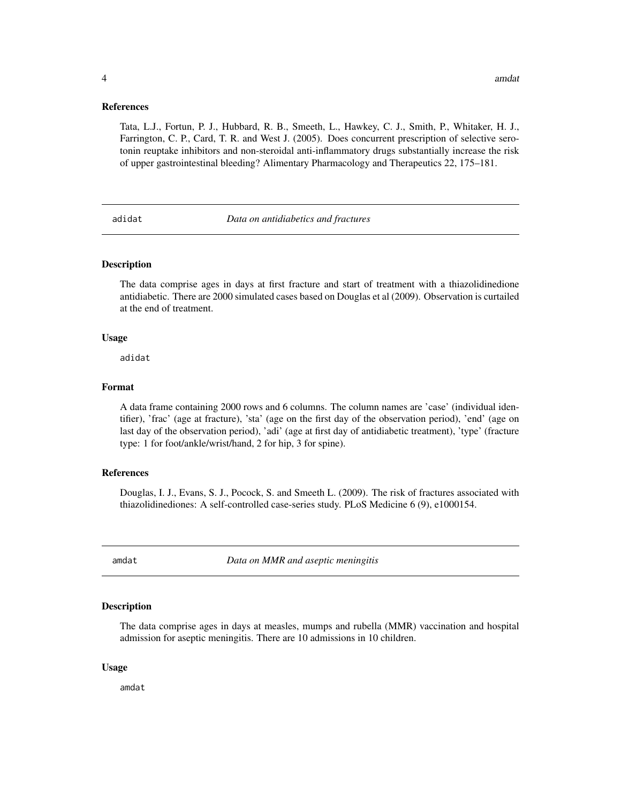<span id="page-3-0"></span>Tata, L.J., Fortun, P. J., Hubbard, R. B., Smeeth, L., Hawkey, C. J., Smith, P., Whitaker, H. J., Farrington, C. P., Card, T. R. and West J. (2005). Does concurrent prescription of selective serotonin reuptake inhibitors and non-steroidal anti-inflammatory drugs substantially increase the risk of upper gastrointestinal bleeding? Alimentary Pharmacology and Therapeutics 22, 175–181.

adidat *Data on antidiabetics and fractures*

# Description

The data comprise ages in days at first fracture and start of treatment with a thiazolidinedione antidiabetic. There are 2000 simulated cases based on Douglas et al (2009). Observation is curtailed at the end of treatment.

# Usage

adidat

# Format

A data frame containing 2000 rows and 6 columns. The column names are 'case' (individual identifier), 'frac' (age at fracture), 'sta' (age on the first day of the observation period), 'end' (age on last day of the observation period), 'adi' (age at first day of antidiabetic treatment), 'type' (fracture type: 1 for foot/ankle/wrist/hand, 2 for hip, 3 for spine).

# References

Douglas, I. J., Evans, S. J., Pocock, S. and Smeeth L. (2009). The risk of fractures associated with thiazolidinediones: A self-controlled case-series study. PLoS Medicine 6 (9), e1000154.

amdat *Data on MMR and aseptic meningitis*

# Description

The data comprise ages in days at measles, mumps and rubella (MMR) vaccination and hospital admission for aseptic meningitis. There are 10 admissions in 10 children.

# Usage

amdat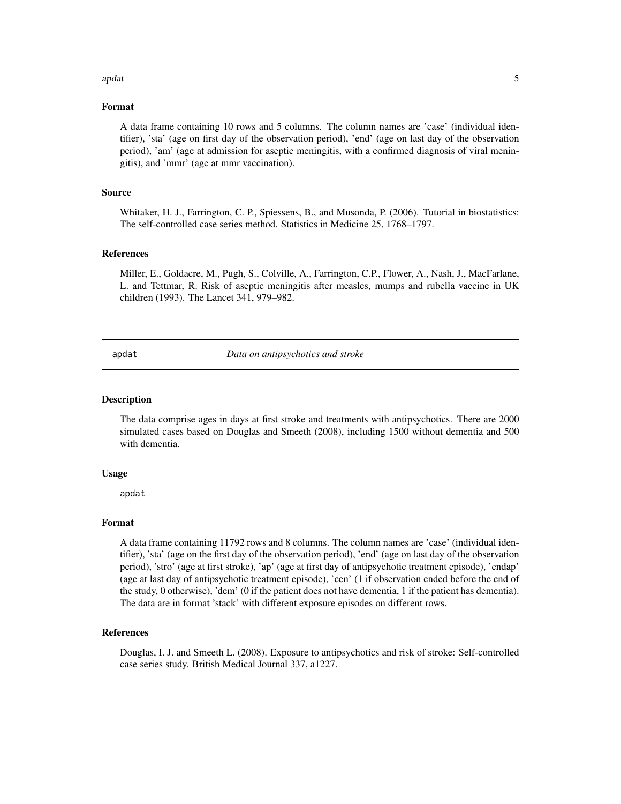### <span id="page-4-0"></span>apdat 5 and 5 and 5 and 5 and 5 and 5 and 5 and 5 and 5 and 5 and 5 and 5 and 5 and 5 and 5 and 5 and 5 and 5 and 5 and 5 and 5 and 5 and 5 and 5 and 5 and 5 and 5 and 5 and 5 and 5 and 5 and 5 and 5 and 5 and 5 and 5 and

# Format

A data frame containing 10 rows and 5 columns. The column names are 'case' (individual identifier), 'sta' (age on first day of the observation period), 'end' (age on last day of the observation period), 'am' (age at admission for aseptic meningitis, with a confirmed diagnosis of viral meningitis), and 'mmr' (age at mmr vaccination).

#### Source

Whitaker, H. J., Farrington, C. P., Spiessens, B., and Musonda, P. (2006). Tutorial in biostatistics: The self-controlled case series method. Statistics in Medicine 25, 1768–1797.

#### References

Miller, E., Goldacre, M., Pugh, S., Colville, A., Farrington, C.P., Flower, A., Nash, J., MacFarlane, L. and Tettmar, R. Risk of aseptic meningitis after measles, mumps and rubella vaccine in UK children (1993). The Lancet 341, 979–982.

apdat *Data on antipsychotics and stroke*

# **Description**

The data comprise ages in days at first stroke and treatments with antipsychotics. There are 2000 simulated cases based on Douglas and Smeeth (2008), including 1500 without dementia and 500 with dementia.

# Usage

apdat

# Format

A data frame containing 11792 rows and 8 columns. The column names are 'case' (individual identifier), 'sta' (age on the first day of the observation period), 'end' (age on last day of the observation period), 'stro' (age at first stroke), 'ap' (age at first day of antipsychotic treatment episode), 'endap' (age at last day of antipsychotic treatment episode), 'cen' (1 if observation ended before the end of the study, 0 otherwise), 'dem' (0 if the patient does not have dementia, 1 if the patient has dementia). The data are in format 'stack' with different exposure episodes on different rows.

#### References

Douglas, I. J. and Smeeth L. (2008). Exposure to antipsychotics and risk of stroke: Self-controlled case series study. British Medical Journal 337, a1227.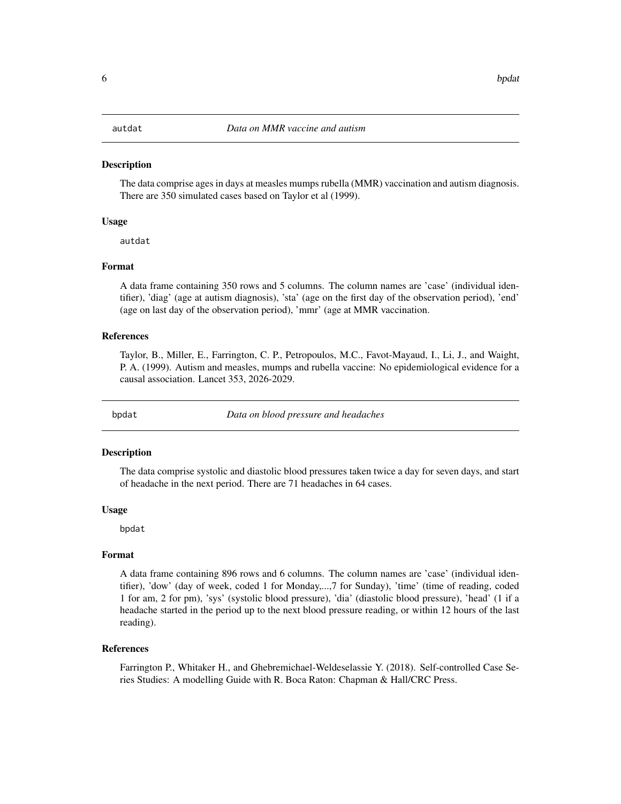<span id="page-5-0"></span>The data comprise ages in days at measles mumps rubella (MMR) vaccination and autism diagnosis. There are 350 simulated cases based on Taylor et al (1999).

#### Usage

autdat

# Format

A data frame containing 350 rows and 5 columns. The column names are 'case' (individual identifier), 'diag' (age at autism diagnosis), 'sta' (age on the first day of the observation period), 'end' (age on last day of the observation period), 'mmr' (age at MMR vaccination.

# References

Taylor, B., Miller, E., Farrington, C. P., Petropoulos, M.C., Favot-Mayaud, I., Li, J., and Waight, P. A. (1999). Autism and measles, mumps and rubella vaccine: No epidemiological evidence for a causal association. Lancet 353, 2026-2029.

bpdat *Data on blood pressure and headaches*

#### **Description**

The data comprise systolic and diastolic blood pressures taken twice a day for seven days, and start of headache in the next period. There are 71 headaches in 64 cases.

#### Usage

bpdat

#### Format

A data frame containing 896 rows and 6 columns. The column names are 'case' (individual identifier), 'dow' (day of week, coded 1 for Monday,...,7 for Sunday), 'time' (time of reading, coded 1 for am, 2 for pm), 'sys' (systolic blood pressure), 'dia' (diastolic blood pressure), 'head' (1 if a headache started in the period up to the next blood pressure reading, or within 12 hours of the last reading).

# References

Farrington P., Whitaker H., and Ghebremichael-Weldeselassie Y. (2018). Self-controlled Case Series Studies: A modelling Guide with R. Boca Raton: Chapman & Hall/CRC Press.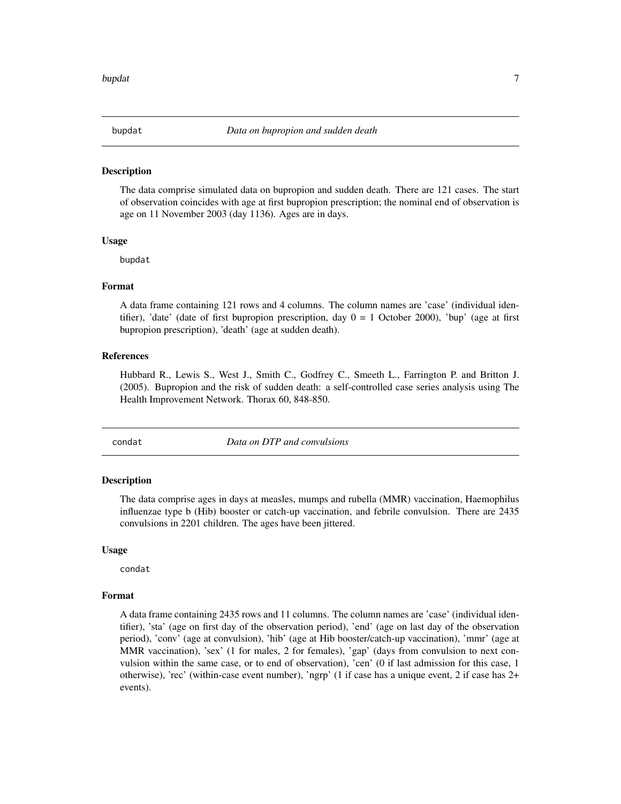<span id="page-6-0"></span>

The data comprise simulated data on bupropion and sudden death. There are 121 cases. The start of observation coincides with age at first bupropion prescription; the nominal end of observation is age on 11 November 2003 (day 1136). Ages are in days.

# Usage

bupdat

#### Format

A data frame containing 121 rows and 4 columns. The column names are 'case' (individual identifier), 'date' (date of first bupropion prescription, day  $0 = 1$  October 2000), 'bup' (age at first bupropion prescription), 'death' (age at sudden death).

# References

Hubbard R., Lewis S., West J., Smith C., Godfrey C., Smeeth L., Farrington P. and Britton J. (2005). Bupropion and the risk of sudden death: a self-controlled case series analysis using The Health Improvement Network. Thorax 60, 848-850.

condat *Data on DTP and convulsions*

# Description

The data comprise ages in days at measles, mumps and rubella (MMR) vaccination, Haemophilus influenzae type b (Hib) booster or catch-up vaccination, and febrile convulsion. There are 2435 convulsions in 2201 children. The ages have been jittered.

#### Usage

condat

# Format

A data frame containing 2435 rows and 11 columns. The column names are 'case' (individual identifier), 'sta' (age on first day of the observation period), 'end' (age on last day of the observation period), 'conv' (age at convulsion), 'hib' (age at Hib booster/catch-up vaccination), 'mmr' (age at MMR vaccination), 'sex' (1 for males, 2 for females), 'gap' (days from convulsion to next convulsion within the same case, or to end of observation), 'cen' (0 if last admission for this case, 1 otherwise), 'rec' (within-case event number), 'ngrp' (1 if case has a unique event, 2 if case has 2+ events).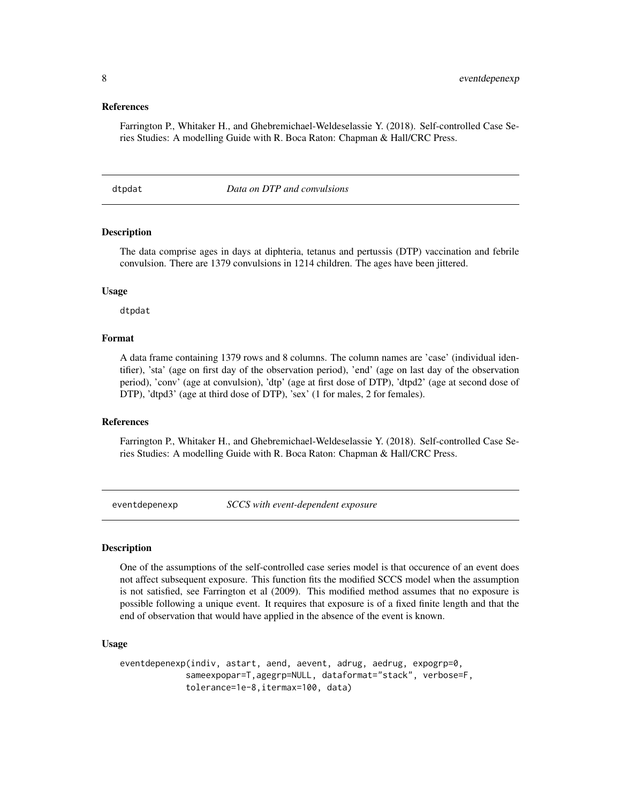# <span id="page-7-0"></span>References

Farrington P., Whitaker H., and Ghebremichael-Weldeselassie Y. (2018). Self-controlled Case Series Studies: A modelling Guide with R. Boca Raton: Chapman & Hall/CRC Press.

dtpdat *Data on DTP and convulsions*

# Description

The data comprise ages in days at diphteria, tetanus and pertussis (DTP) vaccination and febrile convulsion. There are 1379 convulsions in 1214 children. The ages have been jittered.

#### Usage

dtpdat

# Format

A data frame containing 1379 rows and 8 columns. The column names are 'case' (individual identifier), 'sta' (age on first day of the observation period), 'end' (age on last day of the observation period), 'conv' (age at convulsion), 'dtp' (age at first dose of DTP), 'dtpd2' (age at second dose of DTP), 'dtpd3' (age at third dose of DTP), 'sex' (1 for males, 2 for females).

#### References

Farrington P., Whitaker H., and Ghebremichael-Weldeselassie Y. (2018). Self-controlled Case Series Studies: A modelling Guide with R. Boca Raton: Chapman & Hall/CRC Press.

eventdepenexp *SCCS with event-dependent exposure*

# Description

One of the assumptions of the self-controlled case series model is that occurence of an event does not affect subsequent exposure. This function fits the modified SCCS model when the assumption is not satisfied, see Farrington et al (2009). This modified method assumes that no exposure is possible following a unique event. It requires that exposure is of a fixed finite length and that the end of observation that would have applied in the absence of the event is known.

#### Usage

```
eventdepenexp(indiv, astart, aend, aevent, adrug, aedrug, expogrp=0,
             sameexpopar=T,agegrp=NULL, dataformat="stack", verbose=F,
             tolerance=1e-8,itermax=100, data)
```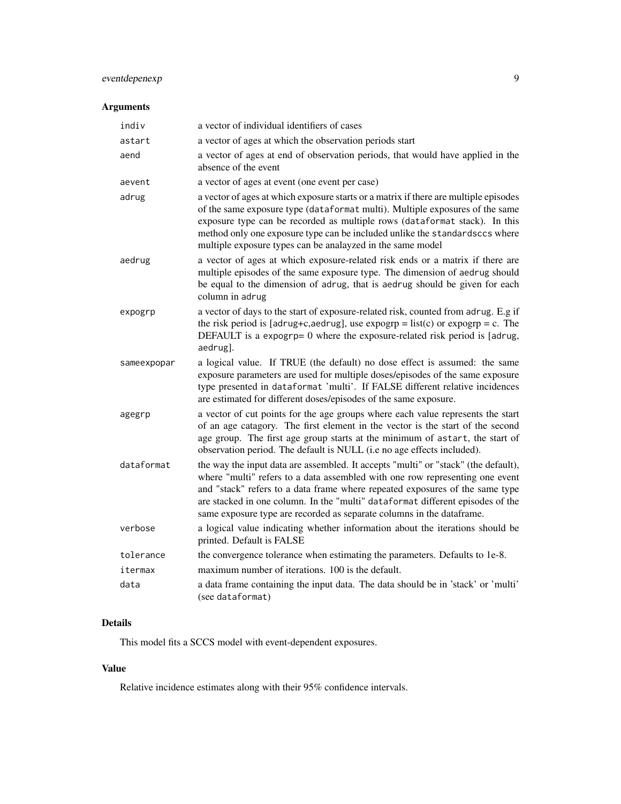# eventdepenexp 9

# Arguments

| indiv       | a vector of individual identifiers of cases                                                                                                                                                                                                                                                                                                                                                                   |
|-------------|---------------------------------------------------------------------------------------------------------------------------------------------------------------------------------------------------------------------------------------------------------------------------------------------------------------------------------------------------------------------------------------------------------------|
| astart      | a vector of ages at which the observation periods start                                                                                                                                                                                                                                                                                                                                                       |
| aend        | a vector of ages at end of observation periods, that would have applied in the<br>absence of the event                                                                                                                                                                                                                                                                                                        |
| aevent      | a vector of ages at event (one event per case)                                                                                                                                                                                                                                                                                                                                                                |
| adrug       | a vector of ages at which exposure starts or a matrix if there are multiple episodes<br>of the same exposure type (dataformat multi). Multiple exposures of the same<br>exposure type can be recorded as multiple rows (dataformat stack). In this<br>method only one exposure type can be included unlike the standardsccs where<br>multiple exposure types can be analayzed in the same model               |
| aedrug      | a vector of ages at which exposure-related risk ends or a matrix if there are<br>multiple episodes of the same exposure type. The dimension of aedrug should<br>be equal to the dimension of adrug, that is aedrug should be given for each<br>column in adrug                                                                                                                                                |
| expogrp     | a vector of days to the start of exposure-related risk, counted from adrug. E.g if<br>the risk period is [adrug+c,aedrug], use expogrp = $list(c)$ or expogrp = c. The<br>DEFAULT is a expogrp= $0$ where the exposure-related risk period is [adrug,<br>aedrug].                                                                                                                                             |
| sameexpopar | a logical value. If TRUE (the default) no dose effect is assumed: the same<br>exposure parameters are used for multiple doses/episodes of the same exposure<br>type presented in dataformat 'multi'. If FALSE different relative incidences<br>are estimated for different doses/episodes of the same exposure.                                                                                               |
| agegrp      | a vector of cut points for the age groups where each value represents the start<br>of an age catagory. The first element in the vector is the start of the second<br>age group. The first age group starts at the minimum of astart, the start of<br>observation period. The default is NULL (i.e no age effects included).                                                                                   |
| dataformat  | the way the input data are assembled. It accepts "multi" or "stack" (the default),<br>where "multi" refers to a data assembled with one row representing one event<br>and "stack" refers to a data frame where repeated exposures of the same type<br>are stacked in one column. In the "multi" dataformat different episodes of the<br>same exposure type are recorded as separate columns in the dataframe. |
| verbose     | a logical value indicating whether information about the iterations should be<br>printed. Default is FALSE                                                                                                                                                                                                                                                                                                    |
| tolerance   | the convergence tolerance when estimating the parameters. Defaults to 1e-8.                                                                                                                                                                                                                                                                                                                                   |
| itermax     | maximum number of iterations. 100 is the default.                                                                                                                                                                                                                                                                                                                                                             |
| data        | a data frame containing the input data. The data should be in 'stack' or 'multi'<br>(see dataformat)                                                                                                                                                                                                                                                                                                          |

# Details

This model fits a SCCS model with event-dependent exposures.

# Value

Relative incidence estimates along with their 95% confidence intervals.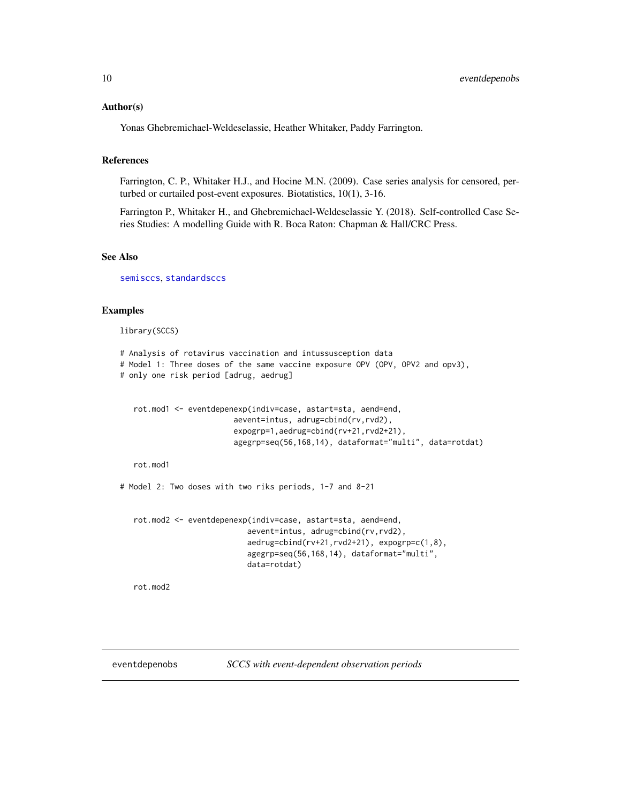# <span id="page-9-0"></span>Author(s)

Yonas Ghebremichael-Weldeselassie, Heather Whitaker, Paddy Farrington.

# References

Farrington, C. P., Whitaker H.J., and Hocine M.N. (2009). Case series analysis for censored, perturbed or curtailed post-event exposures. Biotatistics, 10(1), 3-16.

Farrington P., Whitaker H., and Ghebremichael-Weldeselassie Y. (2018). Self-controlled Case Series Studies: A modelling Guide with R. Boca Raton: Chapman & Hall/CRC Press.

#### See Also

[semisccs](#page-29-1), [standardsccs](#page-38-1)

# Examples

library(SCCS)

```
# Analysis of rotavirus vaccination and intussusception data
# Model 1: Three doses of the same vaccine exposure OPV (OPV, OPV2 and opv3),
# only one risk period [adrug, aedrug]
```

```
rot.mod1 <- eventdepenexp(indiv=case, astart=sta, aend=end,
                      aevent=intus, adrug=cbind(rv,rvd2),
                      expogrp=1,aedrug=cbind(rv+21,rvd2+21),
                      agegrp=seq(56,168,14), dataformat="multi", data=rotdat)
```
rot.mod1

# Model 2: Two doses with two riks periods, 1-7 and 8-21

```
rot.mod2 <- eventdepenexp(indiv=case, astart=sta, aend=end,
                         aevent=intus, adrug=cbind(rv,rvd2),
                         aedrug=cbind(rv+21,rvd2+21), expogrp=c(1,8),
                         agegrp=seq(56,168,14), dataformat="multi",
                         data=rotdat)
```
rot.mod2

eventdepenobs *SCCS with event-dependent observation periods*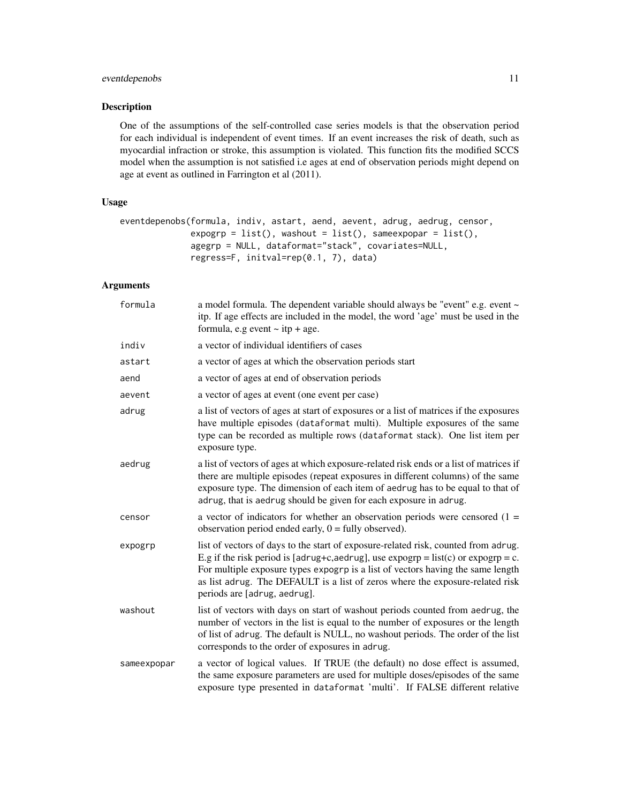# eventdepenobs 11

# Description

One of the assumptions of the self-controlled case series models is that the observation period for each individual is independent of event times. If an event increases the risk of death, such as myocardial infraction or stroke, this assumption is violated. This function fits the modified SCCS model when the assumption is not satisfied i.e ages at end of observation periods might depend on age at event as outlined in Farrington et al (2011).

# Usage

```
eventdepenobs(formula, indiv, astart, aend, aevent, adrug, aedrug, censor,
             expogrp = list(), washout = list(), sameexpopar = list(),
             agegrp = NULL, dataformat="stack", covariates=NULL,
             regress=F, initval=rep(0.1, 7), data)
```
# Arguments

| formula     | a model formula. The dependent variable should always be "event" e.g. event ~<br>itp. If age effects are included in the model, the word 'age' must be used in the<br>formula, e.g event $\sim$ itp + age.                                                                                                                                                                                  |
|-------------|---------------------------------------------------------------------------------------------------------------------------------------------------------------------------------------------------------------------------------------------------------------------------------------------------------------------------------------------------------------------------------------------|
| indiv       | a vector of individual identifiers of cases                                                                                                                                                                                                                                                                                                                                                 |
| astart      | a vector of ages at which the observation periods start                                                                                                                                                                                                                                                                                                                                     |
| aend        | a vector of ages at end of observation periods                                                                                                                                                                                                                                                                                                                                              |
| aevent      | a vector of ages at event (one event per case)                                                                                                                                                                                                                                                                                                                                              |
| adrug       | a list of vectors of ages at start of exposures or a list of matrices if the exposures<br>have multiple episodes (dataformat multi). Multiple exposures of the same<br>type can be recorded as multiple rows (dataformat stack). One list item per<br>exposure type.                                                                                                                        |
| aedrug      | a list of vectors of ages at which exposure-related risk ends or a list of matrices if<br>there are multiple episodes (repeat exposures in different columns) of the same<br>exposure type. The dimension of each item of aedrug has to be equal to that of<br>adrug, that is aedrug should be given for each exposure in adrug.                                                            |
| censor      | a vector of indicators for whether an observation periods were censored $(1 =$<br>observation period ended early, $0 = \text{fully observed}$ .                                                                                                                                                                                                                                             |
| expogrp     | list of vectors of days to the start of exposure-related risk, counted from adrug.<br>E.g if the risk period is [adrug+c,aedrug], use $\exp \exp = \text{list}(c)$ or $\exp \exp = c$ .<br>For multiple exposure types expogrp is a list of vectors having the same length<br>as list adrug. The DEFAULT is a list of zeros where the exposure-related risk<br>periods are [adrug, aedrug]. |
| washout     | list of vectors with days on start of washout periods counted from aedrug, the<br>number of vectors in the list is equal to the number of exposures or the length<br>of list of adrug. The default is NULL, no washout periods. The order of the list<br>corresponds to the order of exposures in adrug.                                                                                    |
| sameexpopar | a vector of logical values. If TRUE (the default) no dose effect is assumed,<br>the same exposure parameters are used for multiple doses/episodes of the same<br>exposure type presented in dataformat 'multi'. If FALSE different relative                                                                                                                                                 |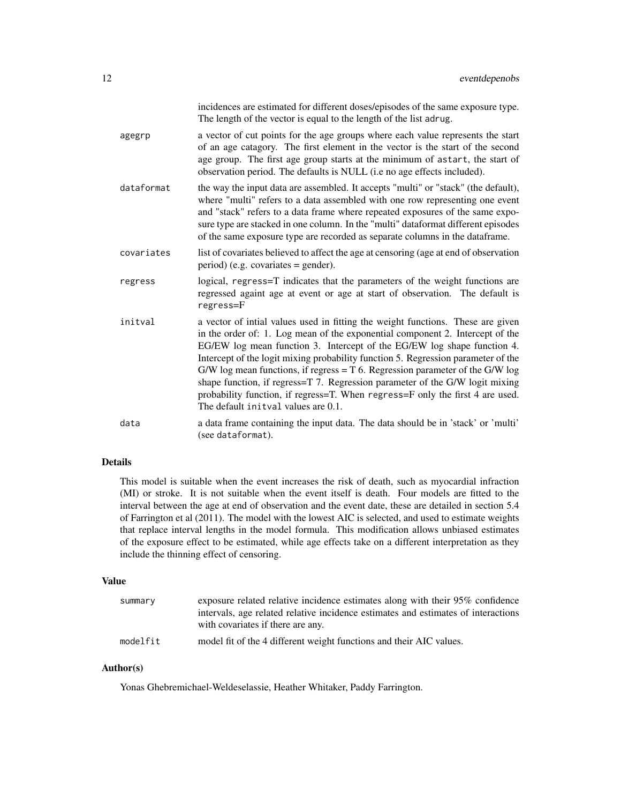|            | incidences are estimated for different doses/episodes of the same exposure type.<br>The length of the vector is equal to the length of the list adrug.                                                                                                                                                                                                                                                                                                                                                                                                                                                                       |
|------------|------------------------------------------------------------------------------------------------------------------------------------------------------------------------------------------------------------------------------------------------------------------------------------------------------------------------------------------------------------------------------------------------------------------------------------------------------------------------------------------------------------------------------------------------------------------------------------------------------------------------------|
| agegrp     | a vector of cut points for the age groups where each value represents the start<br>of an age catagory. The first element in the vector is the start of the second<br>age group. The first age group starts at the minimum of astart, the start of<br>observation period. The defaults is NULL (i.e no age effects included).                                                                                                                                                                                                                                                                                                 |
| dataformat | the way the input data are assembled. It accepts "multi" or "stack" (the default),<br>where "multi" refers to a data assembled with one row representing one event<br>and "stack" refers to a data frame where repeated exposures of the same expo-<br>sure type are stacked in one column. In the "multi" dataformat different episodes<br>of the same exposure type are recorded as separate columns in the dataframe.                                                                                                                                                                                                     |
| covariates | list of covariates believed to affect the age at censoring (age at end of observation<br>$period)$ (e.g. covariates = gender).                                                                                                                                                                                                                                                                                                                                                                                                                                                                                               |
| regress    | logical, regress=T indicates that the parameters of the weight functions are<br>regressed againt age at event or age at start of observation. The default is<br>regress=F                                                                                                                                                                                                                                                                                                                                                                                                                                                    |
| initval    | a vector of intial values used in fitting the weight functions. These are given<br>in the order of: 1. Log mean of the exponential component 2. Intercept of the<br>EG/EW log mean function 3. Intercept of the EG/EW log shape function 4.<br>Intercept of the logit mixing probability function 5. Regression parameter of the<br>G/W log mean functions, if regress $= T 6$ . Regression parameter of the G/W log<br>shape function, if regress=T 7. Regression parameter of the G/W logit mixing<br>probability function, if regress=T. When regress=F only the first 4 are used.<br>The default initval values are 0.1. |
| data       | a data frame containing the input data. The data should be in 'stack' or 'multi'<br>(see dataformat).                                                                                                                                                                                                                                                                                                                                                                                                                                                                                                                        |

# Details

This model is suitable when the event increases the risk of death, such as myocardial infraction (MI) or stroke. It is not suitable when the event itself is death. Four models are fitted to the interval between the age at end of observation and the event date, these are detailed in section 5.4 of Farrington et al (2011). The model with the lowest AIC is selected, and used to estimate weights that replace interval lengths in the model formula. This modification allows unbiased estimates of the exposure effect to be estimated, while age effects take on a different interpretation as they include the thinning effect of censoring.

# Value

| summary  | exposure related relative incidence estimates along with their 95% confidence<br>intervals, age related relative incidence estimates and estimates of interactions<br>with covariates if there are any. |
|----------|---------------------------------------------------------------------------------------------------------------------------------------------------------------------------------------------------------|
| modelfit | model fit of the 4 different weight functions and their AIC values.                                                                                                                                     |

# Author(s)

Yonas Ghebremichael-Weldeselassie, Heather Whitaker, Paddy Farrington.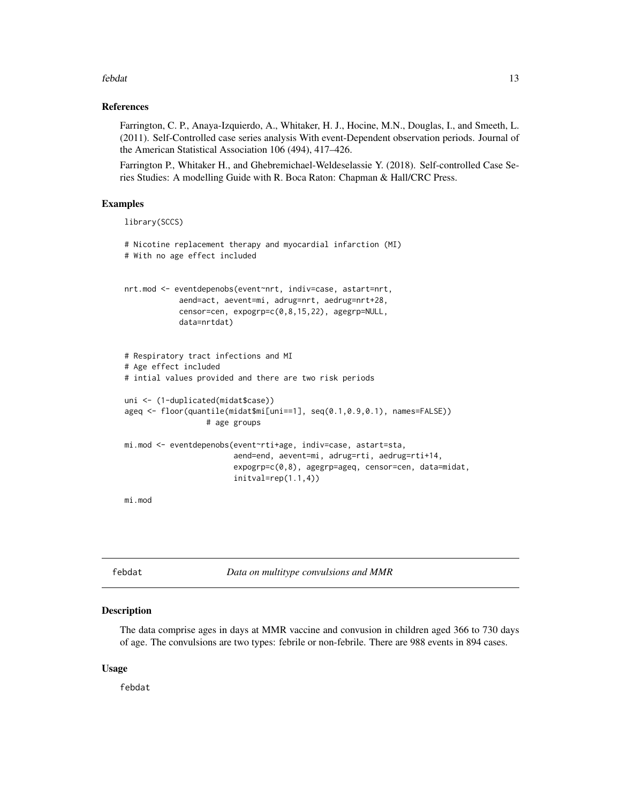## <span id="page-12-0"></span>febdat 13

# References

Farrington, C. P., Anaya-Izquierdo, A., Whitaker, H. J., Hocine, M.N., Douglas, I., and Smeeth, L. (2011). Self-Controlled case series analysis With event-Dependent observation periods. Journal of the American Statistical Association 106 (494), 417–426.

Farrington P., Whitaker H., and Ghebremichael-Weldeselassie Y. (2018). Self-controlled Case Series Studies: A modelling Guide with R. Boca Raton: Chapman & Hall/CRC Press.

# Examples

library(SCCS)

```
# Nicotine replacement therapy and myocardial infarction (MI)
# With no age effect included
nrt.mod <- eventdepenobs(event~nrt, indiv=case, astart=nrt,
            aend=act, aevent=mi, adrug=nrt, aedrug=nrt+28,
            censor=cen, expogrp=c(0,8,15,22), agegrp=NULL,
            data=nrtdat)
# Respiratory tract infections and MI
# Age effect included
# intial values provided and there are two risk periods
uni <- (1-duplicated(midat$case))
ageq <- floor(quantile(midat$mi[uni==1], seq(0.1,0.9,0.1), names=FALSE))
                  # age groups
mi.mod <- eventdepenobs(event~rti+age, indiv=case, astart=sta,
                        aend=end, aevent=mi, adrug=rti, aedrug=rti+14,
                        expogrp=c(0,8), agegrp=ageq, censor=cen, data=midat,
                        initval=rep(1.1,4))
mi.mod
```
febdat *Data on multitype convulsions and MMR*

# **Description**

The data comprise ages in days at MMR vaccine and convusion in children aged 366 to 730 days of age. The convulsions are two types: febrile or non-febrile. There are 988 events in 894 cases.

# Usage

febdat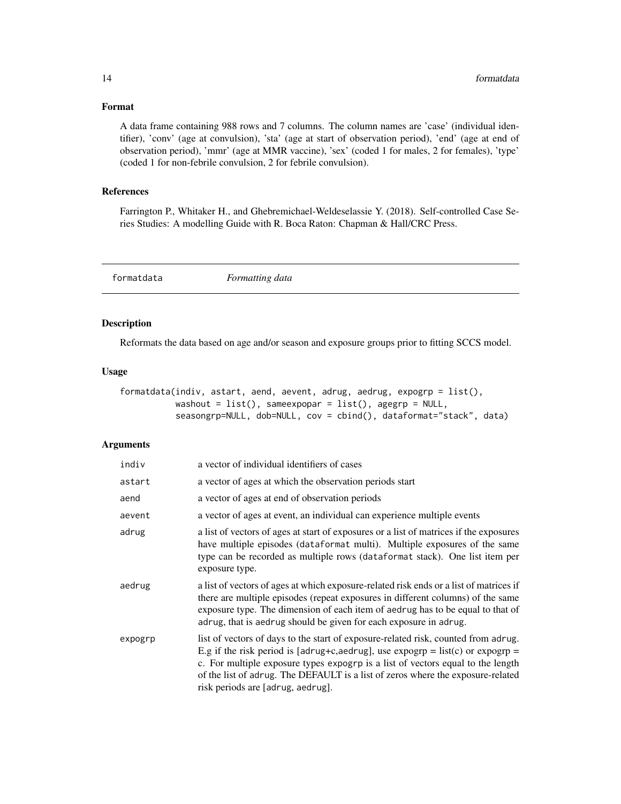# Format

A data frame containing 988 rows and 7 columns. The column names are 'case' (individual identifier), 'conv' (age at convulsion), 'sta' (age at start of observation period), 'end' (age at end of observation period), 'mmr' (age at MMR vaccine), 'sex' (coded 1 for males, 2 for females), 'type' (coded 1 for non-febrile convulsion, 2 for febrile convulsion).

# References

Farrington P., Whitaker H., and Ghebremichael-Weldeselassie Y. (2018). Self-controlled Case Series Studies: A modelling Guide with R. Boca Raton: Chapman & Hall/CRC Press.

formatdata *Formatting data*

# Description

Reformats the data based on age and/or season and exposure groups prior to fitting SCCS model.

# Usage

```
formatdata(indiv, astart, aend, aevent, adrug, aedrug, expogrp = list(),
          washout = list(), sameexpopar = list(), agegrp = NULL,
           seasongrp=NULL, dob=NULL, cov = cbind(), dataformat="stack", data)
```
# **Arguments**

| indiv   | a vector of individual identifiers of cases                                                                                                                                                                                                                                                                                                                                     |
|---------|---------------------------------------------------------------------------------------------------------------------------------------------------------------------------------------------------------------------------------------------------------------------------------------------------------------------------------------------------------------------------------|
| astart  | a vector of ages at which the observation periods start                                                                                                                                                                                                                                                                                                                         |
| aend    | a vector of ages at end of observation periods                                                                                                                                                                                                                                                                                                                                  |
| aevent  | a vector of ages at event, an individual can experience multiple events                                                                                                                                                                                                                                                                                                         |
| adrug   | a list of vectors of ages at start of exposures or a list of matrices if the exposures<br>have multiple episodes (dataformat multi). Multiple exposures of the same<br>type can be recorded as multiple rows (dataformat stack). One list item per<br>exposure type.                                                                                                            |
| aedrug  | a list of vectors of ages at which exposure-related risk ends or a list of matrices if<br>there are multiple episodes (repeat exposures in different columns) of the same<br>exposure type. The dimension of each item of aedrug has to be equal to that of<br>adrug, that is aedrug should be given for each exposure in adrug.                                                |
| expogrp | list of vectors of days to the start of exposure-related risk, counted from adrug.<br>E.g if the risk period is [adrug+c,aedrug], use expogrp = list(c) or expogrp =<br>c. For multiple exposure types expogrp is a list of vectors equal to the length<br>of the list of adrug. The DEFAULT is a list of zeros where the exposure-related<br>risk periods are [adrug, aedrug]. |

<span id="page-13-0"></span>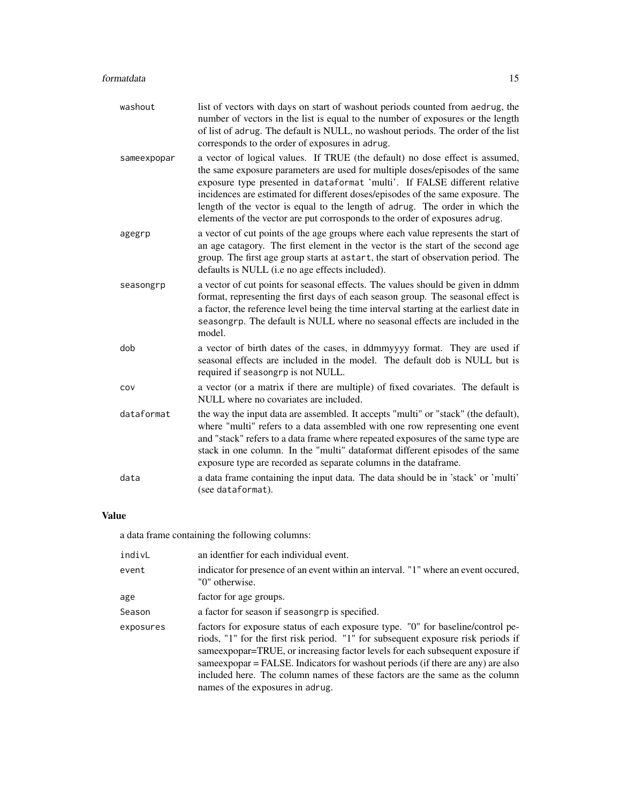| washout     | list of vectors with days on start of washout periods counted from aedrug, the<br>number of vectors in the list is equal to the number of exposures or the length<br>of list of adrug. The default is NULL, no washout periods. The order of the list<br>corresponds to the order of exposures in adrug.                                                                                                                                                                                      |
|-------------|-----------------------------------------------------------------------------------------------------------------------------------------------------------------------------------------------------------------------------------------------------------------------------------------------------------------------------------------------------------------------------------------------------------------------------------------------------------------------------------------------|
| sameexpopar | a vector of logical values. If TRUE (the default) no dose effect is assumed,<br>the same exposure parameters are used for multiple doses/episodes of the same<br>exposure type presented in dataformat 'multi'. If FALSE different relative<br>incidences are estimated for different doses/episodes of the same exposure. The<br>length of the vector is equal to the length of adrug. The order in which the<br>elements of the vector are put corrosponds to the order of exposures adrug. |
| agegrp      | a vector of cut points of the age groups where each value represents the start of<br>an age catagory. The first element in the vector is the start of the second age<br>group. The first age group starts at astart, the start of observation period. The<br>defaults is NULL (i.e no age effects included).                                                                                                                                                                                  |
| seasongrp   | a vector of cut points for seasonal effects. The values should be given in ddmm<br>format, representing the first days of each season group. The seasonal effect is<br>a factor, the reference level being the time interval starting at the earliest date in<br>seasongrp. The default is NULL where no seasonal effects are included in the<br>model.                                                                                                                                       |
| dob         | a vector of birth dates of the cases, in ddmmyyyy format. They are used if<br>seasonal effects are included in the model. The default dob is NULL but is<br>required if seasongrp is not NULL.                                                                                                                                                                                                                                                                                                |
| COV         | a vector (or a matrix if there are multiple) of fixed covariates. The default is<br>NULL where no covariates are included.                                                                                                                                                                                                                                                                                                                                                                    |
| dataformat  | the way the input data are assembled. It accepts "multi" or "stack" (the default),<br>where "multi" refers to a data assembled with one row representing one event<br>and "stack" refers to a data frame where repeated exposures of the same type are<br>stack in one column. In the "multi" dataformat different episodes of the same<br>exposure type are recorded as separate columns in the dataframe.                                                                                   |
| data        | a data frame containing the input data. The data should be in 'stack' or 'multi'<br>(see dataformat).                                                                                                                                                                                                                                                                                                                                                                                         |

# Value

a data frame containing the following columns:

| indivL    | an identfier for each individual event.                                                                                                                                                                                                                                                                                                                                                                                                                         |
|-----------|-----------------------------------------------------------------------------------------------------------------------------------------------------------------------------------------------------------------------------------------------------------------------------------------------------------------------------------------------------------------------------------------------------------------------------------------------------------------|
| event     | indicator for presence of an event within an interval. "1" where an event occurred,<br>"0" otherwise.                                                                                                                                                                                                                                                                                                                                                           |
| age       | factor for age groups.                                                                                                                                                                                                                                                                                                                                                                                                                                          |
| Season    | a factor for season if seasongrp is specified.                                                                                                                                                                                                                                                                                                                                                                                                                  |
| exposures | factors for exposure status of each exposure type. "0" for baseline/control pe-<br>riods, "1" for the first risk period. "1" for subsequent exposure risk periods if<br>same expopar = TRUE, or increasing factor levels for each subsequent exposure if<br>same expopar = FALSE. Indicators for washout periods (if there are any) are also<br>included here. The column names of these factors are the same as the column<br>names of the exposures in adrug. |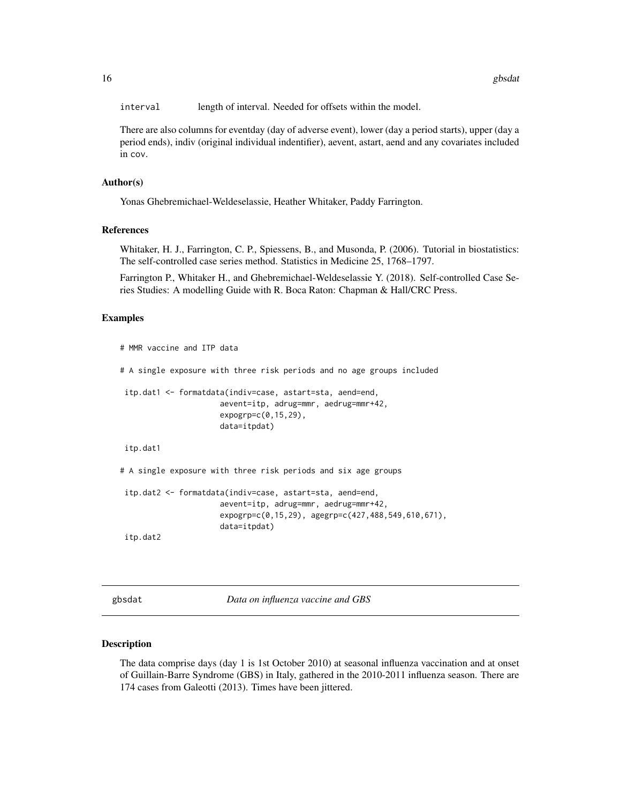<span id="page-15-0"></span>interval length of interval. Needed for offsets within the model.

There are also columns for eventday (day of adverse event), lower (day a period starts), upper (day a period ends), indiv (original individual indentifier), aevent, astart, aend and any covariates included in cov.

# Author(s)

Yonas Ghebremichael-Weldeselassie, Heather Whitaker, Paddy Farrington.

# References

Whitaker, H. J., Farrington, C. P., Spiessens, B., and Musonda, P. (2006). Tutorial in biostatistics: The self-controlled case series method. Statistics in Medicine 25, 1768–1797.

Farrington P., Whitaker H., and Ghebremichael-Weldeselassie Y. (2018). Self-controlled Case Series Studies: A modelling Guide with R. Boca Raton: Chapman & Hall/CRC Press.

# Examples

```
# MMR vaccine and ITP data
# A single exposure with three risk periods and no age groups included
itp.dat1 <- formatdata(indiv=case, astart=sta, aend=end,
                     aevent=itp, adrug=mmr, aedrug=mmr+42,
                      expogrp=c(0,15,29),
                      data=itpdat)
itp.dat1
# A single exposure with three risk periods and six age groups
itp.dat2 <- formatdata(indiv=case, astart=sta, aend=end,
                      aevent=itp, adrug=mmr, aedrug=mmr+42,
                      expogrp=c(0,15,29), agegrp=c(427,488,549,610,671),
                      data=itpdat)
```
itp.dat2

gbsdat *Data on influenza vaccine and GBS*

#### Description

The data comprise days (day 1 is 1st October 2010) at seasonal influenza vaccination and at onset of Guillain-Barre Syndrome (GBS) in Italy, gathered in the 2010-2011 influenza season. There are 174 cases from Galeotti (2013). Times have been jittered.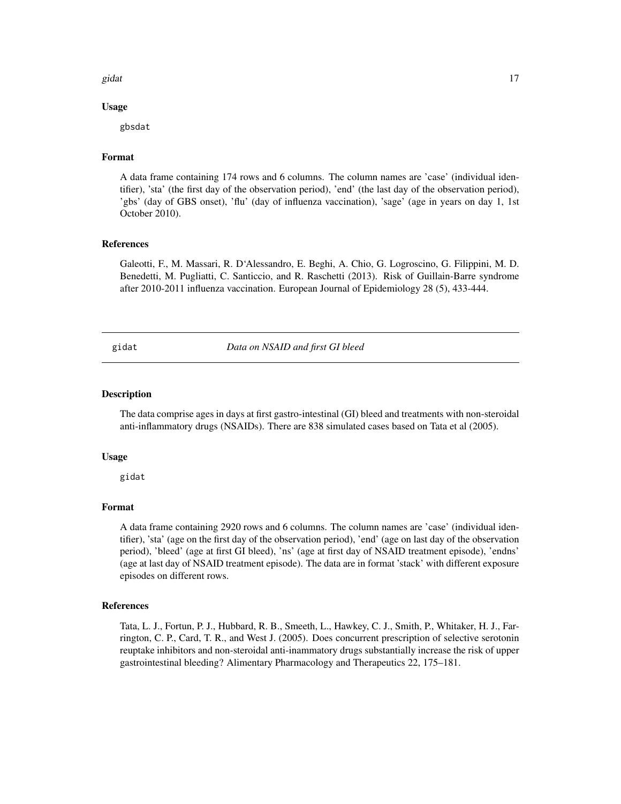#### <span id="page-16-0"></span>gidat 17

# Usage

gbsdat

# Format

A data frame containing 174 rows and 6 columns. The column names are 'case' (individual identifier), 'sta' (the first day of the observation period), 'end' (the last day of the observation period), 'gbs' (day of GBS onset), 'flu' (day of influenza vaccination), 'sage' (age in years on day 1, 1st October 2010).

# References

Galeotti, F., M. Massari, R. D'Alessandro, E. Beghi, A. Chio, G. Logroscino, G. Filippini, M. D. Benedetti, M. Pugliatti, C. Santiccio, and R. Raschetti (2013). Risk of Guillain-Barre syndrome after 2010-2011 influenza vaccination. European Journal of Epidemiology 28 (5), 433-444.

gidat *Data on NSAID and first GI bleed*

# **Description**

The data comprise ages in days at first gastro-intestinal (GI) bleed and treatments with non-steroidal anti-inflammatory drugs (NSAIDs). There are 838 simulated cases based on Tata et al (2005).

#### Usage

gidat

# Format

A data frame containing 2920 rows and 6 columns. The column names are 'case' (individual identifier), 'sta' (age on the first day of the observation period), 'end' (age on last day of the observation period), 'bleed' (age at first GI bleed), 'ns' (age at first day of NSAID treatment episode), 'endns' (age at last day of NSAID treatment episode). The data are in format 'stack' with different exposure episodes on different rows.

# References

Tata, L. J., Fortun, P. J., Hubbard, R. B., Smeeth, L., Hawkey, C. J., Smith, P., Whitaker, H. J., Farrington, C. P., Card, T. R., and West J. (2005). Does concurrent prescription of selective serotonin reuptake inhibitors and non-steroidal anti-inammatory drugs substantially increase the risk of upper gastrointestinal bleeding? Alimentary Pharmacology and Therapeutics 22, 175–181.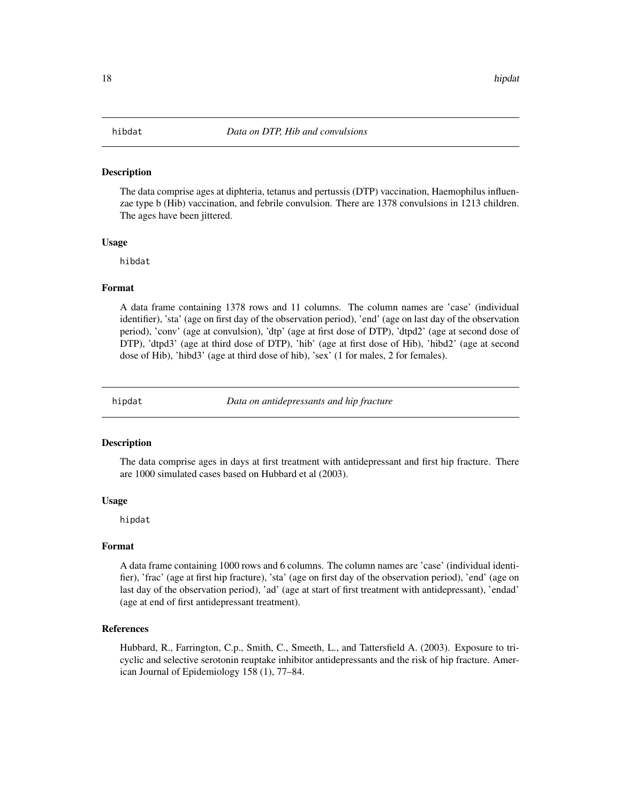<span id="page-17-0"></span>The data comprise ages at diphteria, tetanus and pertussis (DTP) vaccination, Haemophilus influenzae type b (Hib) vaccination, and febrile convulsion. There are 1378 convulsions in 1213 children. The ages have been jittered.

#### Usage

hibdat

# Format

A data frame containing 1378 rows and 11 columns. The column names are 'case' (individual identifier), 'sta' (age on first day of the observation period), 'end' (age on last day of the observation period), 'conv' (age at convulsion), 'dtp' (age at first dose of DTP), 'dtpd2' (age at second dose of DTP), 'dtpd3' (age at third dose of DTP), 'hib' (age at first dose of Hib), 'hibd2' (age at second dose of Hib), 'hibd3' (age at third dose of hib), 'sex' (1 for males, 2 for females).

hipdat *Data on antidepressants and hip fracture*

#### **Description**

The data comprise ages in days at first treatment with antidepressant and first hip fracture. There are 1000 simulated cases based on Hubbard et al (2003).

# Usage

hipdat

#### Format

A data frame containing 1000 rows and 6 columns. The column names are 'case' (individual identifier), 'frac' (age at first hip fracture), 'sta' (age on first day of the observation period), 'end' (age on last day of the observation period), 'ad' (age at start of first treatment with antidepressant), 'endad' (age at end of first antidepressant treatment).

# References

Hubbard, R., Farrington, C.p., Smith, C., Smeeth, L., and Tattersfield A. (2003). Exposure to tricyclic and selective serotonin reuptake inhibitor antidepressants and the risk of hip fracture. American Journal of Epidemiology 158 (1), 77–84.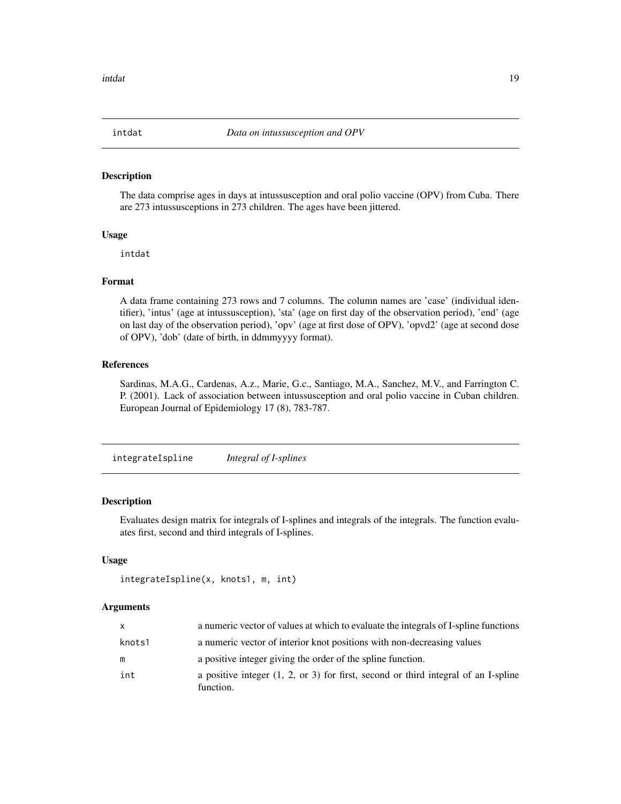<span id="page-18-0"></span>

The data comprise ages in days at intussusception and oral polio vaccine (OPV) from Cuba. There are 273 intussusceptions in 273 children. The ages have been jittered.

# Usage

intdat

# Format

A data frame containing 273 rows and 7 columns. The column names are 'case' (individual identifier), 'intus' (age at intussusception), 'sta' (age on first day of the observation period), 'end' (age on last day of the observation period), 'opv' (age at first dose of OPV), 'opvd2' (age at second dose of OPV), 'dob' (date of birth, in ddmmyyyy format).

# References

Sardinas, M.A.G., Cardenas, A.z., Marie, G.c., Santiago, M.A., Sanchez, M.V., and Farrington C. P. (2001). Lack of association between intussusception and oral polio vaccine in Cuban children. European Journal of Epidemiology 17 (8), 783-787.

integrateIspline *Integral of I-splines*

# Description

Evaluates design matrix for integrals of I-splines and integrals of the integrals. The function evaluates first, second and third integrals of I-splines.

## Usage

```
integrateIspline(x, knots1, m, int)
```
#### Arguments

| X      | a numeric vector of values at which to evaluate the integrals of I-spline functions                        |
|--------|------------------------------------------------------------------------------------------------------------|
| knots1 | a numeric vector of interior knot positions with non-decreasing values                                     |
| m      | a positive integer giving the order of the spline function.                                                |
| int    | a positive integer $(1, 2, \text{ or } 3)$ for first, second or third integral of an I-spline<br>function. |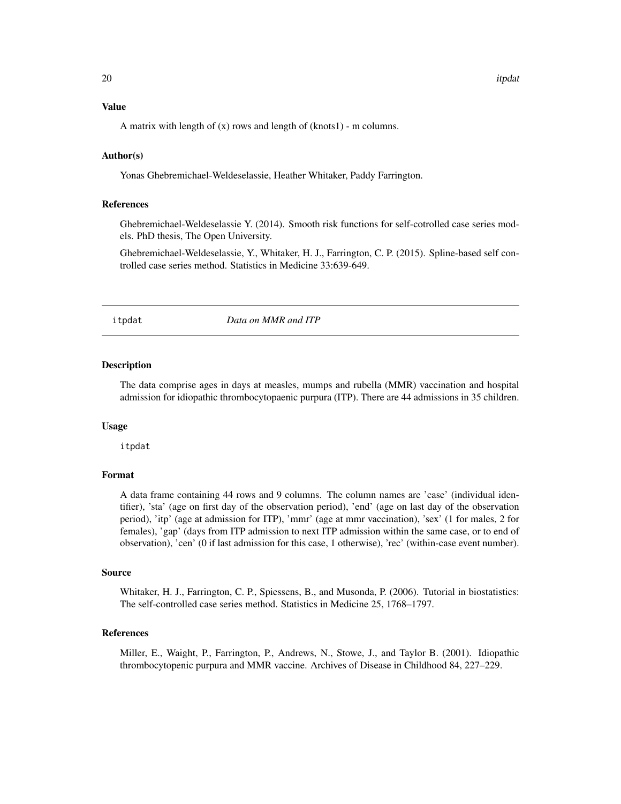#### <span id="page-19-0"></span>Value

A matrix with length of  $(x)$  rows and length of  $(knots1)$  - m columns.

# Author(s)

Yonas Ghebremichael-Weldeselassie, Heather Whitaker, Paddy Farrington.

# References

Ghebremichael-Weldeselassie Y. (2014). Smooth risk functions for self-cotrolled case series models. PhD thesis, The Open University.

Ghebremichael-Weldeselassie, Y., Whitaker, H. J., Farrington, C. P. (2015). Spline-based self controlled case series method. Statistics in Medicine 33:639-649.

itpdat *Data on MMR and ITP*

#### Description

The data comprise ages in days at measles, mumps and rubella (MMR) vaccination and hospital admission for idiopathic thrombocytopaenic purpura (ITP). There are 44 admissions in 35 children.

# Usage

itpdat

# Format

A data frame containing 44 rows and 9 columns. The column names are 'case' (individual identifier), 'sta' (age on first day of the observation period), 'end' (age on last day of the observation period), 'itp' (age at admission for ITP), 'mmr' (age at mmr vaccination), 'sex' (1 for males, 2 for females), 'gap' (days from ITP admission to next ITP admission within the same case, or to end of observation), 'cen' (0 if last admission for this case, 1 otherwise), 'rec' (within-case event number).

#### Source

Whitaker, H. J., Farrington, C. P., Spiessens, B., and Musonda, P. (2006). Tutorial in biostatistics: The self-controlled case series method. Statistics in Medicine 25, 1768–1797.

# References

Miller, E., Waight, P., Farrington, P., Andrews, N., Stowe, J., and Taylor B. (2001). Idiopathic thrombocytopenic purpura and MMR vaccine. Archives of Disease in Childhood 84, 227–229.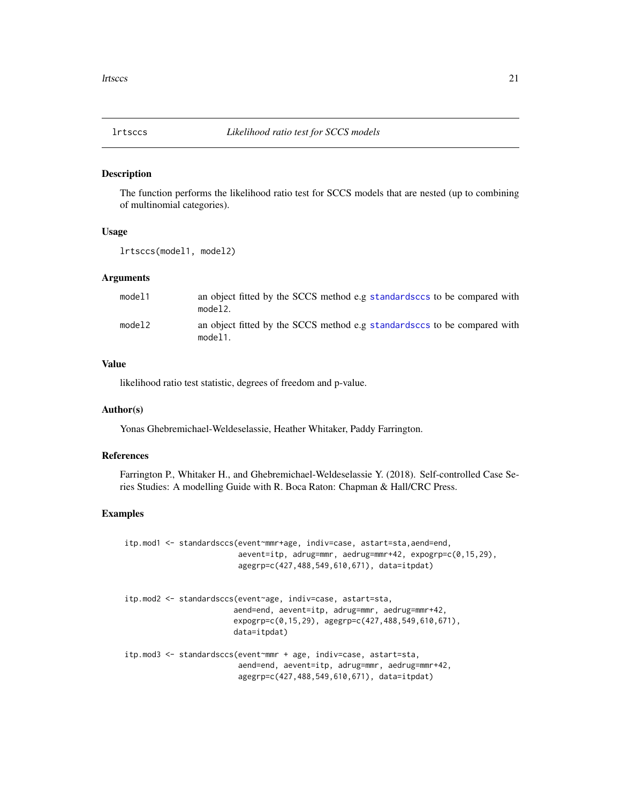<span id="page-20-0"></span>

The function performs the likelihood ratio test for SCCS models that are nested (up to combining of multinomial categories).

#### Usage

lrtsccs(model1, model2)

# Arguments

| model1 | an object fitted by the SCCS method e.g standardsccs to be compared with<br>model2. |
|--------|-------------------------------------------------------------------------------------|
| model2 | an object fitted by the SCCS method e.g standardsccs to be compared with<br>model1. |

# Value

likelihood ratio test statistic, degrees of freedom and p-value.

# Author(s)

Yonas Ghebremichael-Weldeselassie, Heather Whitaker, Paddy Farrington.

#### References

Farrington P., Whitaker H., and Ghebremichael-Weldeselassie Y. (2018). Self-controlled Case Series Studies: A modelling Guide with R. Boca Raton: Chapman & Hall/CRC Press.

# Examples

```
itp.mod1 <- standardsccs(event~mmr+age, indiv=case, astart=sta,aend=end,
                         aevent=itp, adrug=mmr, aedrug=mmr+42, expogrp=c(0,15,29),
                         agegrp=c(427,488,549,610,671), data=itpdat)
itp.mod2 <- standardsccs(event~age, indiv=case, astart=sta,
                        aend=end, aevent=itp, adrug=mmr, aedrug=mmr+42,
                        expogrp=c(0,15,29), agegrp=c(427,488,549,610,671),
                        data=itpdat)
itp.mod3 <- standardsccs(event~mmr + age, indiv=case, astart=sta,
                         aend=end, aevent=itp, adrug=mmr, aedrug=mmr+42,
                         agegrp=c(427,488,549,610,671), data=itpdat)
```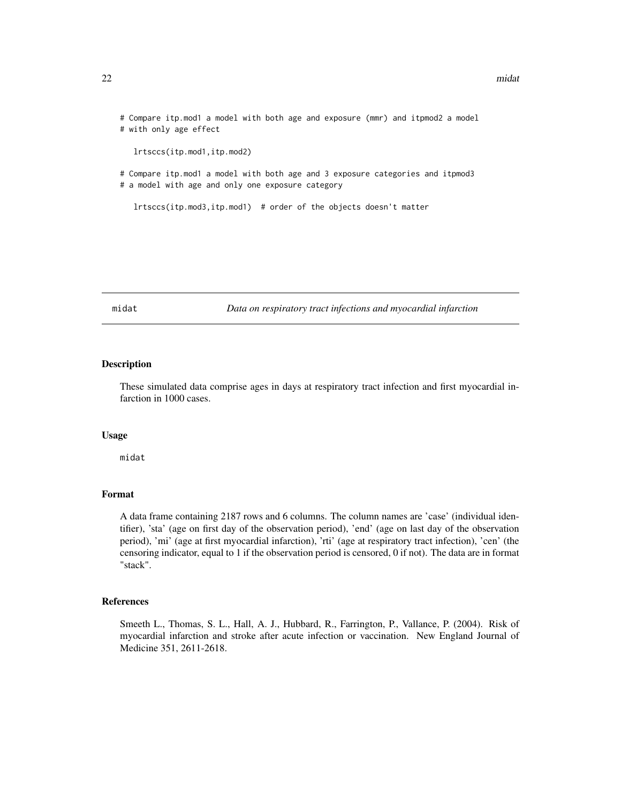<span id="page-21-0"></span># Compare itp.mod1 a model with both age and exposure (mmr) and itpmod2 a model # with only age effect lrtsccs(itp.mod1,itp.mod2)

# Compare itp.mod1 a model with both age and 3 exposure categories and itpmod3 # a model with age and only one exposure category

lrtsccs(itp.mod3,itp.mod1) # order of the objects doesn't matter

midat *Data on respiratory tract infections and myocardial infarction*

#### Description

These simulated data comprise ages in days at respiratory tract infection and first myocardial infarction in 1000 cases.

# Usage

midat

# Format

A data frame containing 2187 rows and 6 columns. The column names are 'case' (individual identifier), 'sta' (age on first day of the observation period), 'end' (age on last day of the observation period), 'mi' (age at first myocardial infarction), 'rti' (age at respiratory tract infection), 'cen' (the censoring indicator, equal to 1 if the observation period is censored, 0 if not). The data are in format "stack".

# References

Smeeth L., Thomas, S. L., Hall, A. J., Hubbard, R., Farrington, P., Vallance, P. (2004). Risk of myocardial infarction and stroke after acute infection or vaccination. New England Journal of Medicine 351, 2611-2618.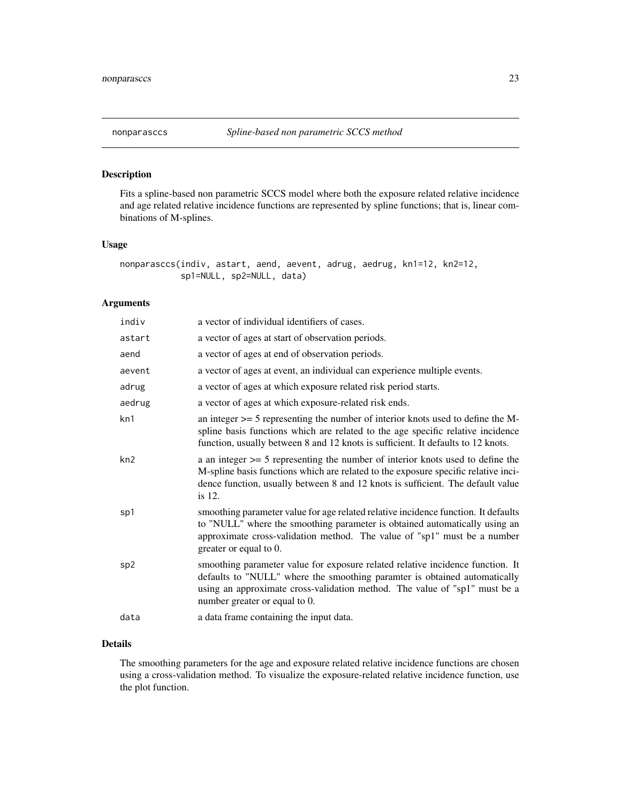<span id="page-22-1"></span><span id="page-22-0"></span>

Fits a spline-based non parametric SCCS model where both the exposure related relative incidence and age related relative incidence functions are represented by spline functions; that is, linear combinations of M-splines.

# Usage

```
nonparasccs(indiv, astart, aend, aevent, adrug, aedrug, kn1=12, kn2=12,
            sp1=NULL, sp2=NULL, data)
```
# Arguments

| indiv  | a vector of individual identifiers of cases.                                                                                                                                                                                                                               |
|--------|----------------------------------------------------------------------------------------------------------------------------------------------------------------------------------------------------------------------------------------------------------------------------|
| astart | a vector of ages at start of observation periods.                                                                                                                                                                                                                          |
| aend   | a vector of ages at end of observation periods.                                                                                                                                                                                                                            |
| aevent | a vector of ages at event, an individual can experience multiple events.                                                                                                                                                                                                   |
| adrug  | a vector of ages at which exposure related risk period starts.                                                                                                                                                                                                             |
| aedrug | a vector of ages at which exposure-related risk ends.                                                                                                                                                                                                                      |
| kn1    | an integer $\ge$ = 5 representing the number of interior knots used to define the M-<br>spline basis functions which are related to the age specific relative incidence<br>function, usually between 8 and 12 knots is sufficient. It defaults to 12 knots.                |
| kn2    | a an integer $\ge$ 5 representing the number of interior knots used to define the<br>M-spline basis functions which are related to the exposure specific relative inci-<br>dence function, usually between 8 and 12 knots is sufficient. The default value<br>is 12.       |
| sp1    | smoothing parameter value for age related relative incidence function. It defaults<br>to "NULL" where the smoothing parameter is obtained automatically using an<br>approximate cross-validation method. The value of "sp1" must be a number<br>greater or equal to 0.     |
| sp2    | smoothing parameter value for exposure related relative incidence function. It<br>defaults to "NULL" where the smoothing paramter is obtained automatically<br>using an approximate cross-validation method. The value of "sp1" must be a<br>number greater or equal to 0. |
| data   | a data frame containing the input data.                                                                                                                                                                                                                                    |

# Details

The smoothing parameters for the age and exposure related relative incidence functions are chosen using a cross-validation method. To visualize the exposure-related relative incidence function, use the plot function.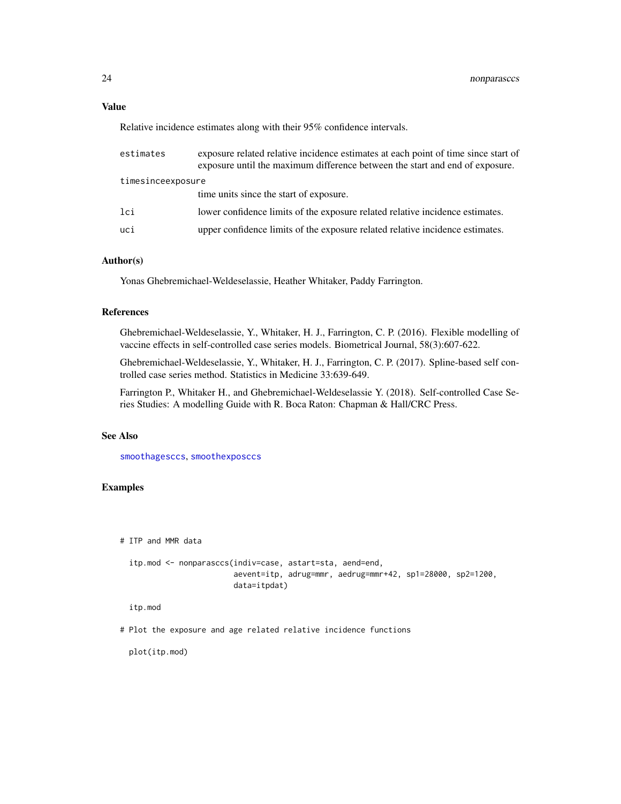# <span id="page-23-0"></span>Value

Relative incidence estimates along with their 95% confidence intervals.

| estimates         | exposure related relative incidence estimates at each point of time since start of<br>exposure until the maximum difference between the start and end of exposure. |  |
|-------------------|--------------------------------------------------------------------------------------------------------------------------------------------------------------------|--|
| timesinceexposure |                                                                                                                                                                    |  |
|                   | time units since the start of exposure.                                                                                                                            |  |
| lci               | lower confidence limits of the exposure related relative incidence estimates.                                                                                      |  |
| uci               | upper confidence limits of the exposure related relative incidence estimates.                                                                                      |  |
|                   |                                                                                                                                                                    |  |

# Author(s)

Yonas Ghebremichael-Weldeselassie, Heather Whitaker, Paddy Farrington.

# References

Ghebremichael-Weldeselassie, Y., Whitaker, H. J., Farrington, C. P. (2016). Flexible modelling of vaccine effects in self-controlled case series models. Biometrical Journal, 58(3):607-622.

Ghebremichael-Weldeselassie, Y., Whitaker, H. J., Farrington, C. P. (2017). Spline-based self controlled case series method. Statistics in Medicine 33:639-649.

Farrington P., Whitaker H., and Ghebremichael-Weldeselassie Y. (2018). Self-controlled Case Series Studies: A modelling Guide with R. Boca Raton: Chapman & Hall/CRC Press.

# See Also

[smoothagesccs](#page-34-1), [smoothexposccs](#page-36-1)

# Examples

# ITP and MMR data

```
itp.mod <- nonparasccs(indiv=case, astart=sta, aend=end,
                       aevent=itp, adrug=mmr, aedrug=mmr+42, sp1=28000, sp2=1200,
                       data=itpdat)
```
itp.mod

# Plot the exposure and age related relative incidence functions

plot(itp.mod)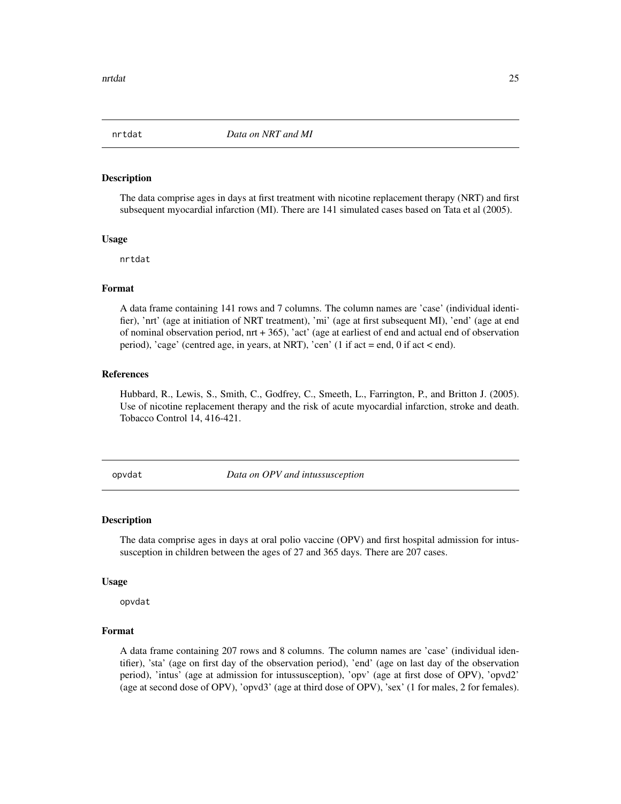<span id="page-24-0"></span>

The data comprise ages in days at first treatment with nicotine replacement therapy (NRT) and first subsequent myocardial infarction (MI). There are 141 simulated cases based on Tata et al (2005).

# Usage

nrtdat

# Format

A data frame containing 141 rows and 7 columns. The column names are 'case' (individual identifier), 'nrt' (age at initiation of NRT treatment), 'mi' (age at first subsequent MI), 'end' (age at end of nominal observation period, nrt + 365), 'act' (age at earliest of end and actual end of observation period), 'cage' (centred age, in years, at NRT), 'cen' (1 if act = end, 0 if act < end).

# References

Hubbard, R., Lewis, S., Smith, C., Godfrey, C., Smeeth, L., Farrington, P., and Britton J. (2005). Use of nicotine replacement therapy and the risk of acute myocardial infarction, stroke and death. Tobacco Control 14, 416-421.

opvdat *Data on OPV and intussusception*

#### Description

The data comprise ages in days at oral polio vaccine (OPV) and first hospital admission for intussusception in children between the ages of 27 and 365 days. There are 207 cases.

#### Usage

opvdat

# Format

A data frame containing 207 rows and 8 columns. The column names are 'case' (individual identifier), 'sta' (age on first day of the observation period), 'end' (age on last day of the observation period), 'intus' (age at admission for intussusception), 'opv' (age at first dose of OPV), 'opvd2' (age at second dose of OPV), 'opvd3' (age at third dose of OPV), 'sex' (1 for males, 2 for females).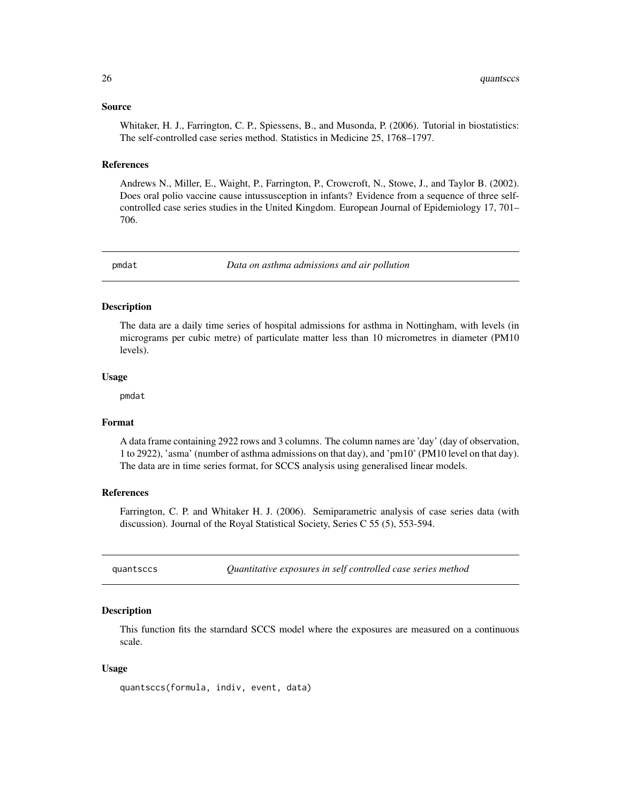# <span id="page-25-0"></span>Source

Whitaker, H. J., Farrington, C. P., Spiessens, B., and Musonda, P. (2006). Tutorial in biostatistics: The self-controlled case series method. Statistics in Medicine 25, 1768–1797.

## References

Andrews N., Miller, E., Waight, P., Farrington, P., Crowcroft, N., Stowe, J., and Taylor B. (2002). Does oral polio vaccine cause intussusception in infants? Evidence from a sequence of three selfcontrolled case series studies in the United Kingdom. European Journal of Epidemiology 17, 701– 706.

pmdat *Data on asthma admissions and air pollution*

# Description

The data are a daily time series of hospital admissions for asthma in Nottingham, with levels (in micrograms per cubic metre) of particulate matter less than 10 micrometres in diameter (PM10 levels).

#### Usage

pmdat

#### Format

A data frame containing 2922 rows and 3 columns. The column names are 'day' (day of observation, 1 to 2922), 'asma' (number of asthma admissions on that day), and 'pm10' (PM10 level on that day). The data are in time series format, for SCCS analysis using generalised linear models.

# References

Farrington, C. P. and Whitaker H. J. (2006). Semiparametric analysis of case series data (with discussion). Journal of the Royal Statistical Society, Series C 55 (5), 553-594.

quantsccs *Quantitative exposures in self controlled case series method*

## **Description**

This function fits the starndard SCCS model where the exposures are measured on a continuous scale.

# Usage

quantsccs(formula, indiv, event, data)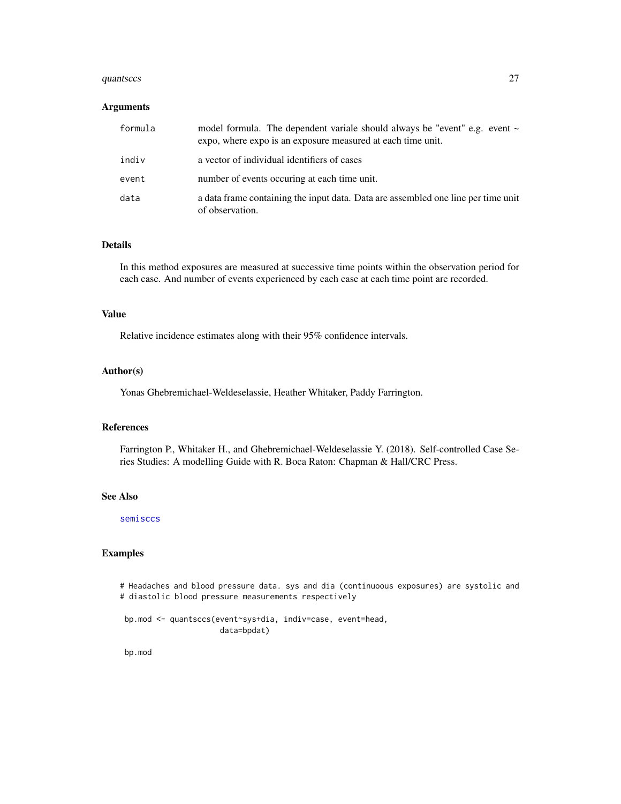#### <span id="page-26-0"></span>quantsccs 27

# **Arguments**

| formula | model formula. The dependent variale should always be "event" e.g. event $\sim$<br>expo, where expo is an exposure measured at each time unit. |
|---------|------------------------------------------------------------------------------------------------------------------------------------------------|
| indiv   | a vector of individual identifiers of cases                                                                                                    |
| event   | number of events occuring at each time unit.                                                                                                   |
| data    | a data frame containing the input data. Data are assembled one line per time unit<br>of observation.                                           |

# Details

In this method exposures are measured at successive time points within the observation period for each case. And number of events experienced by each case at each time point are recorded.

# Value

Relative incidence estimates along with their 95% confidence intervals.

# Author(s)

Yonas Ghebremichael-Weldeselassie, Heather Whitaker, Paddy Farrington.

# References

Farrington P., Whitaker H., and Ghebremichael-Weldeselassie Y. (2018). Self-controlled Case Series Studies: A modelling Guide with R. Boca Raton: Chapman & Hall/CRC Press.

# See Also

[semisccs](#page-29-1)

# Examples

# Headaches and blood pressure data. sys and dia (continuoous exposures) are systolic and # diastolic blood pressure measurements respectively

bp.mod <- quantsccs(event~sys+dia, indiv=case, event=head, data=bpdat)

bp.mod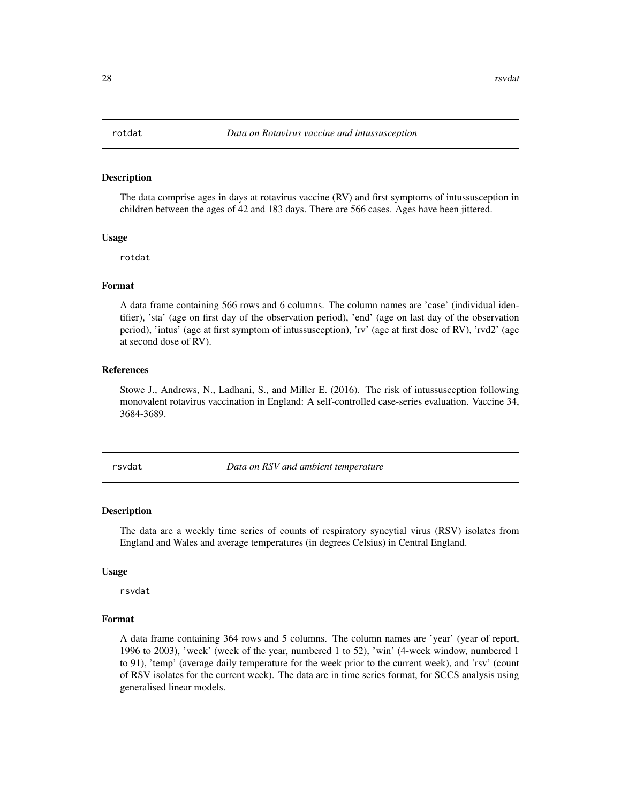<span id="page-27-0"></span>The data comprise ages in days at rotavirus vaccine (RV) and first symptoms of intussusception in children between the ages of 42 and 183 days. There are 566 cases. Ages have been jittered.

#### Usage

rotdat

#### Format

A data frame containing 566 rows and 6 columns. The column names are 'case' (individual identifier), 'sta' (age on first day of the observation period), 'end' (age on last day of the observation period), 'intus' (age at first symptom of intussusception), 'rv' (age at first dose of RV), 'rvd2' (age at second dose of RV).

# References

Stowe J., Andrews, N., Ladhani, S., and Miller E. (2016). The risk of intussusception following monovalent rotavirus vaccination in England: A self-controlled case-series evaluation. Vaccine 34, 3684-3689.

rsvdat *Data on RSV and ambient temperature*

#### Description

The data are a weekly time series of counts of respiratory syncytial virus (RSV) isolates from England and Wales and average temperatures (in degrees Celsius) in Central England.

#### Usage

rsvdat

# Format

A data frame containing 364 rows and 5 columns. The column names are 'year' (year of report, 1996 to 2003), 'week' (week of the year, numbered 1 to 52), 'win' (4-week window, numbered 1 to 91), 'temp' (average daily temperature for the week prior to the current week), and 'rsv' (count of RSV isolates for the current week). The data are in time series format, for SCCS analysis using generalised linear models.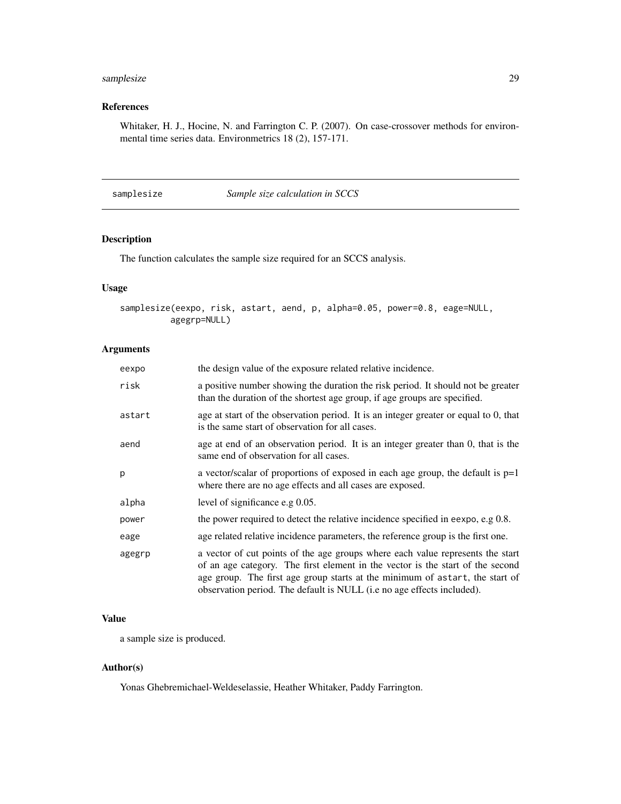# <span id="page-28-0"></span>samplesize 29

# References

Whitaker, H. J., Hocine, N. and Farrington C. P. (2007). On case-crossover methods for environmental time series data. Environmetrics 18 (2), 157-171.

samplesize *Sample size calculation in SCCS*

# Description

The function calculates the sample size required for an SCCS analysis.

# Usage

```
samplesize(eexpo, risk, astart, aend, p, alpha=0.05, power=0.8, eage=NULL,
         agegrp=NULL)
```
# Arguments

| eexpo  | the design value of the exposure related relative incidence.                                                                                                                                                                                                                                                               |
|--------|----------------------------------------------------------------------------------------------------------------------------------------------------------------------------------------------------------------------------------------------------------------------------------------------------------------------------|
| risk   | a positive number showing the duration the risk period. It should not be greater<br>than the duration of the shortest age group, if age groups are specified.                                                                                                                                                              |
| astart | age at start of the observation period. It is an integer greater or equal to 0, that<br>is the same start of observation for all cases.                                                                                                                                                                                    |
| aend   | age at end of an observation period. It is an integer greater than 0, that is the<br>same end of observation for all cases.                                                                                                                                                                                                |
| p      | a vector/scalar of proportions of exposed in each age group, the default is $p=1$<br>where there are no age effects and all cases are exposed.                                                                                                                                                                             |
| alpha  | level of significance e.g 0.05.                                                                                                                                                                                                                                                                                            |
| power  | the power required to detect the relative incidence specified in eexpo, e.g 0.8.                                                                                                                                                                                                                                           |
| eage   | age related relative incidence parameters, the reference group is the first one.                                                                                                                                                                                                                                           |
| agegrp | a vector of cut points of the age groups where each value represents the start<br>of an age category. The first element in the vector is the start of the second<br>age group. The first age group starts at the minimum of astart, the start of<br>observation period. The default is NULL (i.e no age effects included). |

# Value

a sample size is produced.

# Author(s)

Yonas Ghebremichael-Weldeselassie, Heather Whitaker, Paddy Farrington.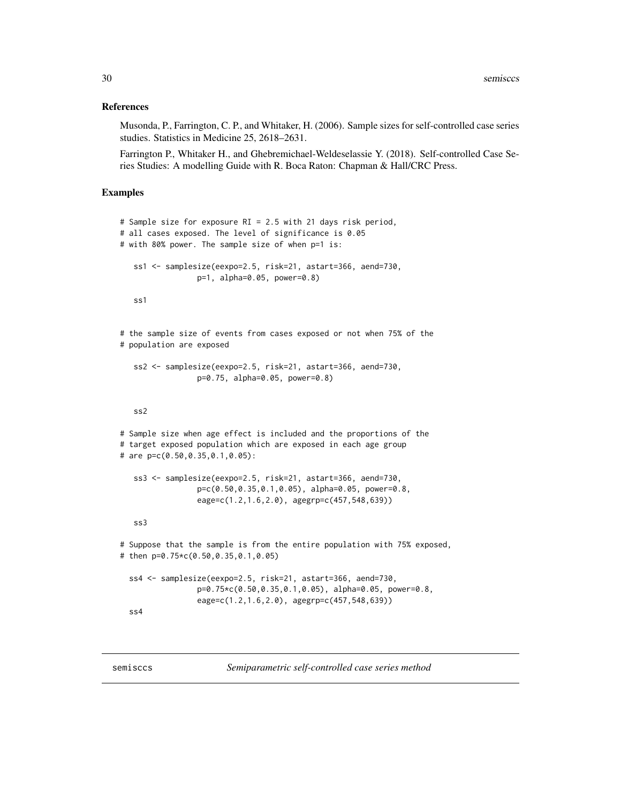# <span id="page-29-0"></span>References

Musonda, P., Farrington, C. P., and Whitaker, H. (2006). Sample sizes for self-controlled case series studies. Statistics in Medicine 25, 2618–2631.

Farrington P., Whitaker H., and Ghebremichael-Weldeselassie Y. (2018). Self-controlled Case Series Studies: A modelling Guide with R. Boca Raton: Chapman & Hall/CRC Press.

# Examples

```
# Sample size for exposure RI = 2.5 with 21 days risk period,
# all cases exposed. The level of significance is 0.05
# with 80% power. The sample size of when p=1 is:
  ss1 <- samplesize(eexpo=2.5, risk=21, astart=366, aend=730,
                 p=1, alpha=0.05, power=0.8)
   ss1
# the sample size of events from cases exposed or not when 75% of the
# population are exposed
   ss2 <- samplesize(eexpo=2.5, risk=21, astart=366, aend=730,
                 p=0.75, alpha=0.05, power=0.8)
   ss2
# Sample size when age effect is included and the proportions of the
# target exposed population which are exposed in each age group
# are p=c(0.50,0.35,0.1,0.05):
   ss3 <- samplesize(eexpo=2.5, risk=21, astart=366, aend=730,
                 p=c(0.50,0.35,0.1,0.05), alpha=0.05, power=0.8,
                 eage=c(1.2,1.6,2.0), agegrp=c(457,548,639))
   ss3
# Suppose that the sample is from the entire population with 75% exposed,
# then p=0.75*c(0.50,0.35,0.1,0.05)
 ss4 <- samplesize(eexpo=2.5, risk=21, astart=366, aend=730,
                 p=0.75*c(0.50,0.35,0.1,0.05), alpha=0.05, power=0.8,
                 eage=c(1.2,1.6,2.0), agegrp=c(457,548,639))
 ss4
```
<span id="page-29-1"></span>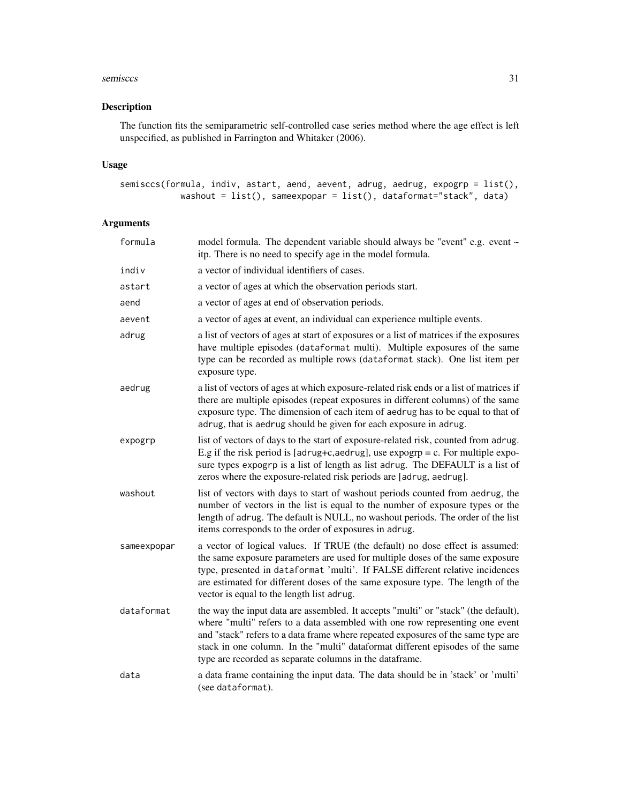#### semisccs 31

# Description

The function fits the semiparametric self-controlled case series method where the age effect is left unspecified, as published in Farrington and Whitaker (2006).

# Usage

```
semisccs(formula, indiv, astart, aend, aevent, adrug, aedrug, expogrp = list(),
           washout = list(), sameexpopar = list(), dataformat="stack", data)
```
# Arguments

| formula     | model formula. The dependent variable should always be "event" e.g. event ~<br>itp. There is no need to specify age in the model formula.                                                                                                                                                                                                                                                          |
|-------------|----------------------------------------------------------------------------------------------------------------------------------------------------------------------------------------------------------------------------------------------------------------------------------------------------------------------------------------------------------------------------------------------------|
| indiv       | a vector of individual identifiers of cases.                                                                                                                                                                                                                                                                                                                                                       |
| astart      | a vector of ages at which the observation periods start.                                                                                                                                                                                                                                                                                                                                           |
| aend        | a vector of ages at end of observation periods.                                                                                                                                                                                                                                                                                                                                                    |
| aevent      | a vector of ages at event, an individual can experience multiple events.                                                                                                                                                                                                                                                                                                                           |
| adrug       | a list of vectors of ages at start of exposures or a list of matrices if the exposures<br>have multiple episodes (dataformat multi). Multiple exposures of the same<br>type can be recorded as multiple rows (dataformat stack). One list item per<br>exposure type.                                                                                                                               |
| aedrug      | a list of vectors of ages at which exposure-related risk ends or a list of matrices if<br>there are multiple episodes (repeat exposures in different columns) of the same<br>exposure type. The dimension of each item of aedrug has to be equal to that of<br>adrug, that is aedrug should be given for each exposure in adrug.                                                                   |
| expogrp     | list of vectors of days to the start of exposure-related risk, counted from adrug.<br>E.g if the risk period is [adrug+c,aedrug], use expogrp = c. For multiple expo-<br>sure types expogrp is a list of length as list adrug. The DEFAULT is a list of<br>zeros where the exposure-related risk periods are [adrug, aedrug].                                                                      |
| washout     | list of vectors with days to start of washout periods counted from aedrug, the<br>number of vectors in the list is equal to the number of exposure types or the<br>length of adrug. The default is NULL, no washout periods. The order of the list<br>items corresponds to the order of exposures in adrug.                                                                                        |
| sameexpopar | a vector of logical values. If TRUE (the default) no dose effect is assumed:<br>the same exposure parameters are used for multiple doses of the same exposure<br>type, presented in dataformat 'multi'. If FALSE different relative incidences<br>are estimated for different doses of the same exposure type. The length of the<br>vector is equal to the length list adrug.                      |
| dataformat  | the way the input data are assembled. It accepts "multi" or "stack" (the default),<br>where "multi" refers to a data assembled with one row representing one event<br>and "stack" refers to a data frame where repeated exposures of the same type are<br>stack in one column. In the "multi" dataformat different episodes of the same<br>type are recorded as separate columns in the dataframe. |
| data        | a data frame containing the input data. The data should be in 'stack' or 'multi'<br>(see dataformat).                                                                                                                                                                                                                                                                                              |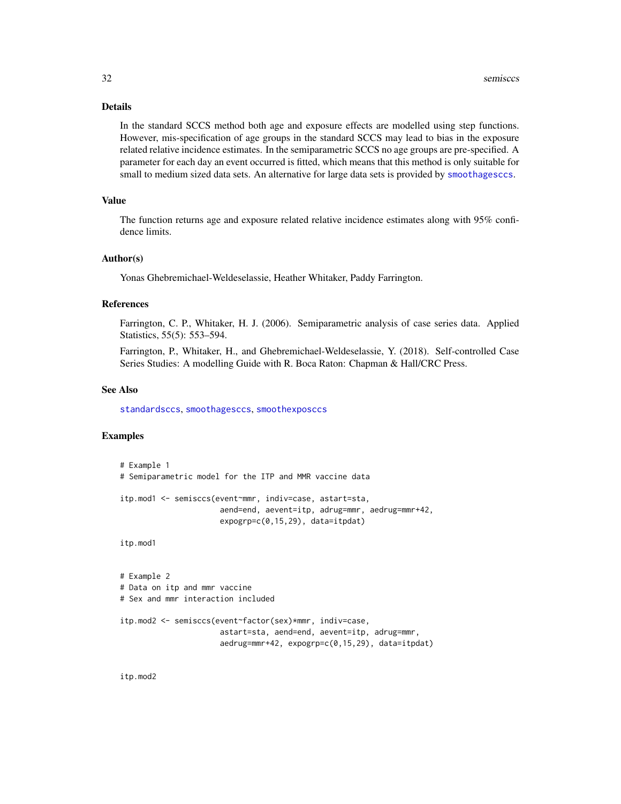# <span id="page-31-0"></span>Details

In the standard SCCS method both age and exposure effects are modelled using step functions. However, mis-specification of age groups in the standard SCCS may lead to bias in the exposure related relative incidence estimates. In the semiparametric SCCS no age groups are pre-specified. A parameter for each day an event occurred is fitted, which means that this method is only suitable for small to medium sized data sets. An alternative for large data sets is provided by [smoothagesccs](#page-34-1).

# Value

The function returns age and exposure related relative incidence estimates along with 95% confidence limits.

# Author(s)

Yonas Ghebremichael-Weldeselassie, Heather Whitaker, Paddy Farrington.

#### References

Farrington, C. P., Whitaker, H. J. (2006). Semiparametric analysis of case series data. Applied Statistics, 55(5): 553–594.

Farrington, P., Whitaker, H., and Ghebremichael-Weldeselassie, Y. (2018). Self-controlled Case Series Studies: A modelling Guide with R. Boca Raton: Chapman & Hall/CRC Press.

# See Also

[standardsccs](#page-38-1), [smoothagesccs](#page-34-1), [smoothexposccs](#page-36-1)

# Examples

```
# Example 1
# Semiparametric model for the ITP and MMR vaccine data
itp.mod1 <- semisccs(event~mmr, indiv=case, astart=sta,
                      aend=end, aevent=itp, adrug=mmr, aedrug=mmr+42,
                      expogrp=c(0,15,29), data=itpdat)
itp.mod1
```

```
# Example 2
# Data on itp and mmr vaccine
# Sex and mmr interaction included
itp.mod2 <- semisccs(event~factor(sex)*mmr, indiv=case,
                      astart=sta, aend=end, aevent=itp, adrug=mmr,
                      aedrug=mmr+42, expogrp=c(0,15,29), data=itpdat)
```
itp.mod2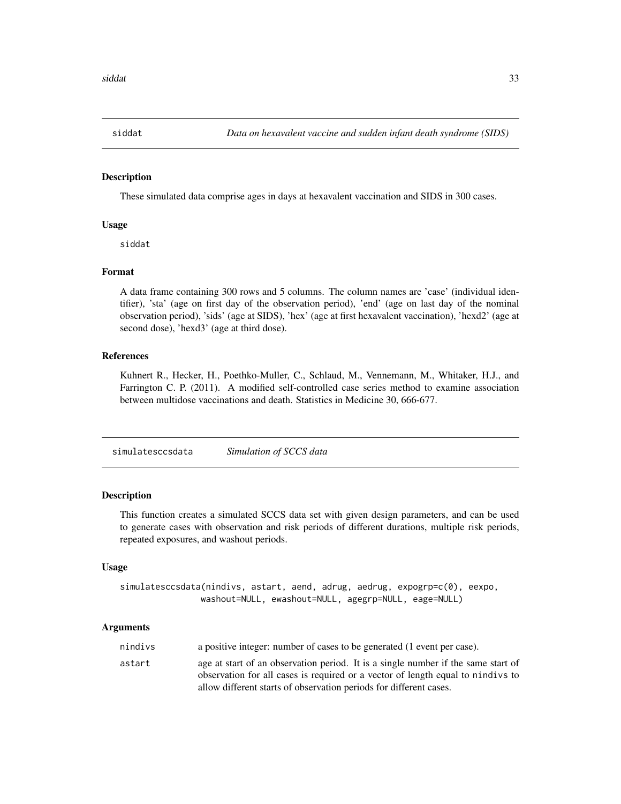<span id="page-32-0"></span>

These simulated data comprise ages in days at hexavalent vaccination and SIDS in 300 cases.

# Usage

siddat

# Format

A data frame containing 300 rows and 5 columns. The column names are 'case' (individual identifier), 'sta' (age on first day of the observation period), 'end' (age on last day of the nominal observation period), 'sids' (age at SIDS), 'hex' (age at first hexavalent vaccination), 'hexd2' (age at second dose), 'hexd3' (age at third dose).

# References

Kuhnert R., Hecker, H., Poethko-Muller, C., Schlaud, M., Vennemann, M., Whitaker, H.J., and Farrington C. P. (2011). A modified self-controlled case series method to examine association between multidose vaccinations and death. Statistics in Medicine 30, 666-677.

simulatesccsdata *Simulation of SCCS data*

# Description

This function creates a simulated SCCS data set with given design parameters, and can be used to generate cases with observation and risk periods of different durations, multiple risk periods, repeated exposures, and washout periods.

# Usage

simulatesccsdata(nindivs, astart, aend, adrug, aedrug, expogrp=c(0), eexpo, washout=NULL, ewashout=NULL, agegrp=NULL, eage=NULL)

# Arguments

| nindivs | a positive integer: number of cases to be generated (1 event per case).           |
|---------|-----------------------------------------------------------------------------------|
| astart  | age at start of an observation period. It is a single number if the same start of |
|         | observation for all cases is required or a vector of length equal to nindivs to   |
|         | allow different starts of observation periods for different cases.                |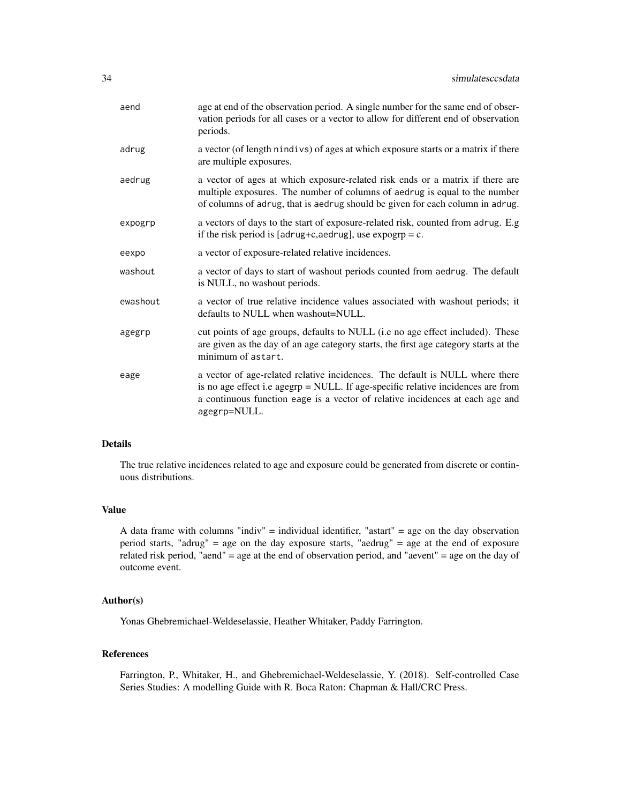| aend     | age at end of the observation period. A single number for the same end of obser-<br>vation periods for all cases or a vector to allow for different end of observation<br>periods.                                                                                |
|----------|-------------------------------------------------------------------------------------------------------------------------------------------------------------------------------------------------------------------------------------------------------------------|
| adrug    | a vector (of length nindivs) of ages at which exposure starts or a matrix if there<br>are multiple exposures.                                                                                                                                                     |
| aedrug   | a vector of ages at which exposure-related risk ends or a matrix if there are<br>multiple exposures. The number of columns of aedrug is equal to the number<br>of columns of adrug, that is aedrug should be given for each column in adrug.                      |
| expogrp  | a vectors of days to the start of exposure-related risk, counted from adrug. E.g<br>if the risk period is [adrug+c,aedrug], use $\exp \exp = c$ .                                                                                                                 |
| eexpo    | a vector of exposure-related relative incidences.                                                                                                                                                                                                                 |
| washout  | a vector of days to start of washout periods counted from aedrug. The default<br>is NULL, no washout periods.                                                                                                                                                     |
| ewashout | a vector of true relative incidence values associated with washout periods; it<br>defaults to NULL when washout=NULL.                                                                                                                                             |
| agegrp   | cut points of age groups, defaults to NULL (i.e no age effect included). These<br>are given as the day of an age category starts, the first age category starts at the<br>minimum of astart.                                                                      |
| eage     | a vector of age-related relative incidences. The default is NULL where there<br>is no age effect i.e agegrp = NULL. If age-specific relative incidences are from<br>a continuous function eage is a vector of relative incidences at each age and<br>agegrp=NULL. |

# Details

The true relative incidences related to age and exposure could be generated from discrete or continuous distributions.

# Value

A data frame with columns "indiv" = individual identifier, "astart" = age on the day observation period starts, "adrug" = age on the day exposure starts, "aedrug" = age at the end of exposure related risk period, "aend" = age at the end of observation period, and "aevent" = age on the day of outcome event.

# Author(s)

Yonas Ghebremichael-Weldeselassie, Heather Whitaker, Paddy Farrington.

# References

Farrington, P., Whitaker, H., and Ghebremichael-Weldeselassie, Y. (2018). Self-controlled Case Series Studies: A modelling Guide with R. Boca Raton: Chapman & Hall/CRC Press.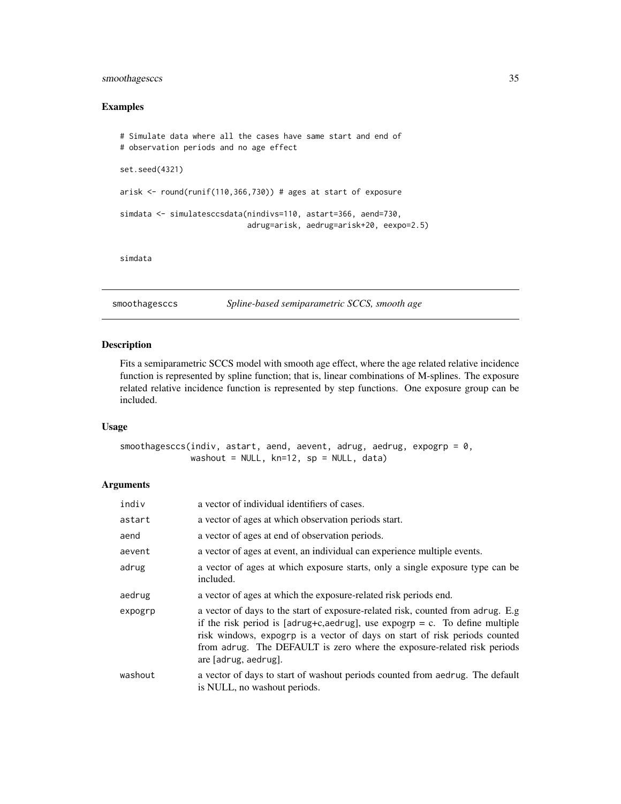# <span id="page-34-0"></span>smoothagesccs 35

# Examples

```
# Simulate data where all the cases have same start and end of
# observation periods and no age effect
set.seed(4321)
arisk <- round(runif(110,366,730)) # ages at start of exposure
simdata <- simulatesccsdata(nindivs=110, astart=366, aend=730,
                            adrug=arisk, aedrug=arisk+20, eexpo=2.5)
```
simdata

<span id="page-34-1"></span>smoothagesccs *Spline-based semiparametric SCCS, smooth age*

# Description

Fits a semiparametric SCCS model with smooth age effect, where the age related relative incidence function is represented by spline function; that is, linear combinations of M-splines. The exposure related relative incidence function is represented by step functions. One exposure group can be included.

# Usage

smoothagesccs(indiv, astart, aend, aevent, adrug, aedrug, expogrp =  $0$ , washout = NULL, kn=12, sp = NULL, data)

# Arguments

| indiv   | a vector of individual identifiers of cases.                                                                                                                                                                                                                                                                                                    |
|---------|-------------------------------------------------------------------------------------------------------------------------------------------------------------------------------------------------------------------------------------------------------------------------------------------------------------------------------------------------|
| astart  | a vector of ages at which observation periods start.                                                                                                                                                                                                                                                                                            |
| aend    | a vector of ages at end of observation periods.                                                                                                                                                                                                                                                                                                 |
| aevent  | a vector of ages at event, an individual can experience multiple events.                                                                                                                                                                                                                                                                        |
| adrug   | a vector of ages at which exposure starts, only a single exposure type can be<br>included.                                                                                                                                                                                                                                                      |
| aedrug  | a vector of ages at which the exposure-related risk periods end.                                                                                                                                                                                                                                                                                |
| expogrp | a vector of days to the start of exposure-related risk, counted from adrug. E.g<br>if the risk period is [adrug+c,aedrug], use expogrp = c. To define multiple<br>risk windows, expogrp is a vector of days on start of risk periods counted<br>from adrug. The DEFAULT is zero where the exposure-related risk periods<br>are [adrug, aedrug]. |
| washout | a vector of days to start of washout periods counted from aedrug. The default<br>is NULL, no washout periods.                                                                                                                                                                                                                                   |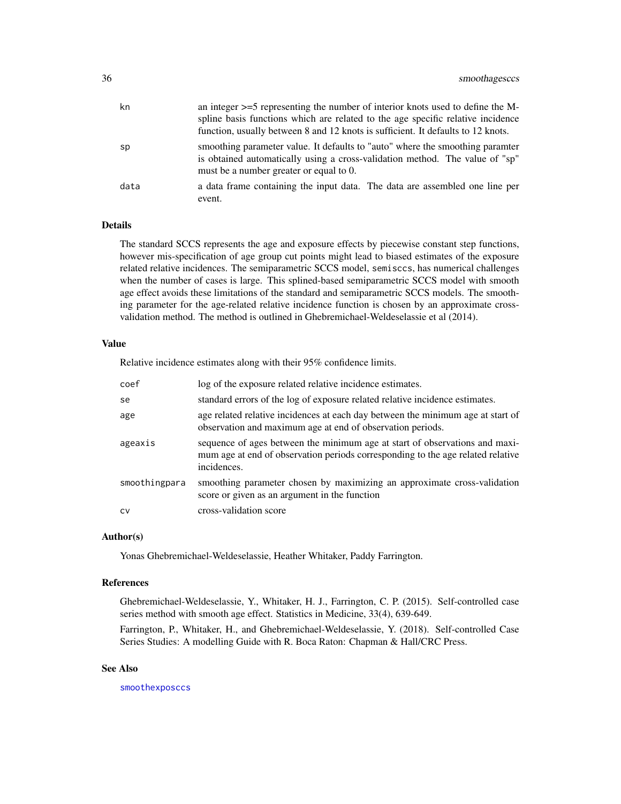<span id="page-35-0"></span>

| kn   | an integer $>=$ 5 representing the number of interior knots used to define the M-<br>spline basis functions which are related to the age specific relative incidence<br>function, usually between 8 and 12 knots is sufficient. It defaults to 12 knots. |
|------|----------------------------------------------------------------------------------------------------------------------------------------------------------------------------------------------------------------------------------------------------------|
| sp   | smoothing parameter value. It defaults to "auto" where the smoothing paramter<br>is obtained automatically using a cross-validation method. The value of "sp"<br>must be a number greater or equal to 0.                                                 |
| data | a data frame containing the input data. The data are assembled one line per<br>event.                                                                                                                                                                    |

#### Details

The standard SCCS represents the age and exposure effects by piecewise constant step functions, however mis-specification of age group cut points might lead to biased estimates of the exposure related relative incidences. The semiparametric SCCS model, semisccs, has numerical challenges when the number of cases is large. This splined-based semiparametric SCCS model with smooth age effect avoids these limitations of the standard and semiparametric SCCS models. The smoothing parameter for the age-related relative incidence function is chosen by an approximate crossvalidation method. The method is outlined in Ghebremichael-Weldeselassie et al (2014).

# Value

Relative incidence estimates along with their 95% confidence limits.

| coef          | log of the exposure related relative incidence estimates.                                                                                                                     |
|---------------|-------------------------------------------------------------------------------------------------------------------------------------------------------------------------------|
| se            | standard errors of the log of exposure related relative incidence estimates.                                                                                                  |
| age           | age related relative incidences at each day between the minimum age at start of<br>observation and maximum age at end of observation periods.                                 |
| ageaxis       | sequence of ages between the minimum age at start of observations and maxi-<br>mum age at end of observation periods corresponding to the age related relative<br>incidences. |
| smoothingpara | smoothing parameter chosen by maximizing an approximate cross-validation<br>score or given as an argument in the function                                                     |
| <b>CV</b>     | cross-validation score                                                                                                                                                        |

# Author(s)

Yonas Ghebremichael-Weldeselassie, Heather Whitaker, Paddy Farrington.

#### References

Ghebremichael-Weldeselassie, Y., Whitaker, H. J., Farrington, C. P. (2015). Self-controlled case series method with smooth age effect. Statistics in Medicine, 33(4), 639-649.

Farrington, P., Whitaker, H., and Ghebremichael-Weldeselassie, Y. (2018). Self-controlled Case Series Studies: A modelling Guide with R. Boca Raton: Chapman & Hall/CRC Press.

# See Also

[smoothexposccs](#page-36-1)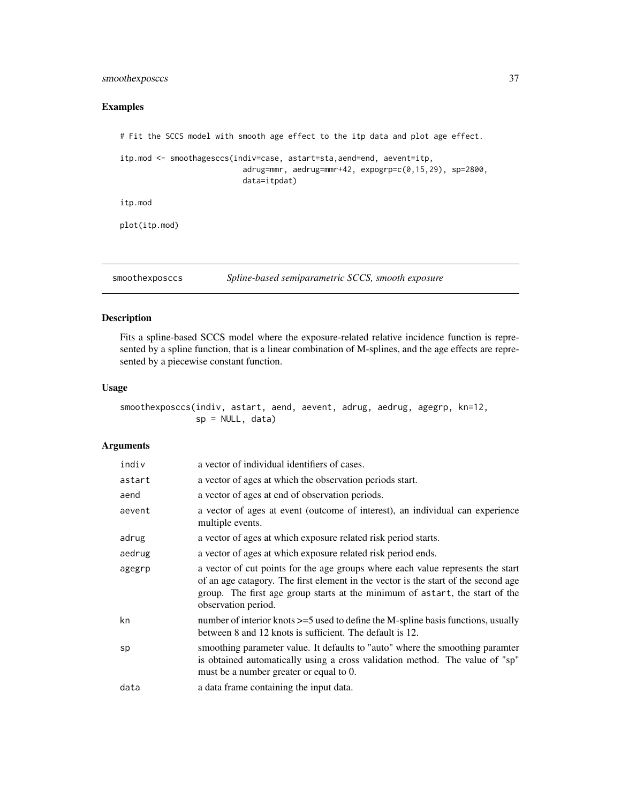# <span id="page-36-0"></span>smoothexposccs 37

# Examples

```
# Fit the SCCS model with smooth age effect to the itp data and plot age effect.
itp.mod <- smoothagesccs(indiv=case, astart=sta,aend=end, aevent=itp,
                           adrug=mmr, aedrug=mmr+42, expogrp=c(0,15,29), sp=2800,
                           data=itpdat)
itp.mod
plot(itp.mod)
```
<span id="page-36-1"></span>smoothexposccs *Spline-based semiparametric SCCS, smooth exposure*

# Description

Fits a spline-based SCCS model where the exposure-related relative incidence function is represented by a spline function, that is a linear combination of M-splines, and the age effects are represented by a piecewise constant function.

# Usage

smoothexposccs(indiv, astart, aend, aevent, adrug, aedrug, agegrp, kn=12,  $sp = NULL, data)$ 

#### Arguments

| indiv  | a vector of individual identifiers of cases.                                                                                                                                                                                                                                 |
|--------|------------------------------------------------------------------------------------------------------------------------------------------------------------------------------------------------------------------------------------------------------------------------------|
| astart | a vector of ages at which the observation periods start.                                                                                                                                                                                                                     |
| aend   | a vector of ages at end of observation periods.                                                                                                                                                                                                                              |
| aevent | a vector of ages at event (outcome of interest), an individual can experience<br>multiple events.                                                                                                                                                                            |
| adrug  | a vector of ages at which exposure related risk period starts.                                                                                                                                                                                                               |
| aedrug | a vector of ages at which exposure related risk period ends.                                                                                                                                                                                                                 |
| agegrp | a vector of cut points for the age groups where each value represents the start<br>of an age catagory. The first element in the vector is the start of the second age<br>group. The first age group starts at the minimum of astart, the start of the<br>observation period. |
| kn     | number of interior knots >=5 used to define the M-spline basis functions, usually<br>between 8 and 12 knots is sufficient. The default is 12.                                                                                                                                |
| sp     | smoothing parameter value. It defaults to "auto" where the smoothing paramter<br>is obtained automatically using a cross validation method. The value of "sp"<br>must be a number greater or equal to 0.                                                                     |
| data   | a data frame containing the input data.                                                                                                                                                                                                                                      |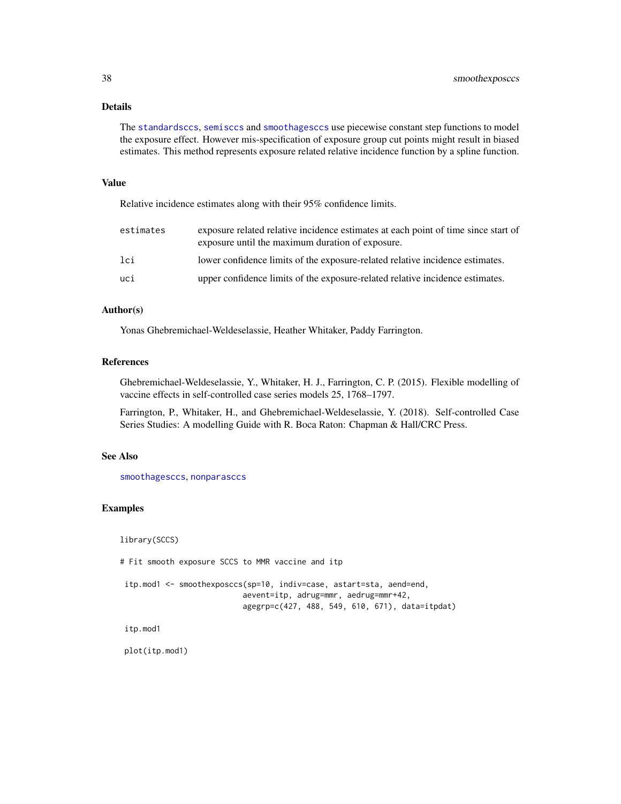# <span id="page-37-0"></span>Details

The [standardsccs](#page-38-1), [semisccs](#page-29-1) and [smoothagesccs](#page-34-1) use piecewise constant step functions to model the exposure effect. However mis-specification of exposure group cut points might result in biased estimates. This method represents exposure related relative incidence function by a spline function.

# Value

Relative incidence estimates along with their 95% confidence limits.

| estimates | exposure related relative incidence estimates at each point of time since start of<br>exposure until the maximum duration of exposure. |
|-----------|----------------------------------------------------------------------------------------------------------------------------------------|
| 1ci       | lower confidence limits of the exposure-related relative incidence estimates.                                                          |
| uci       | upper confidence limits of the exposure-related relative incidence estimates.                                                          |

# Author(s)

Yonas Ghebremichael-Weldeselassie, Heather Whitaker, Paddy Farrington.

# References

Ghebremichael-Weldeselassie, Y., Whitaker, H. J., Farrington, C. P. (2015). Flexible modelling of vaccine effects in self-controlled case series models 25, 1768–1797.

Farrington, P., Whitaker, H., and Ghebremichael-Weldeselassie, Y. (2018). Self-controlled Case Series Studies: A modelling Guide with R. Boca Raton: Chapman & Hall/CRC Press.

# See Also

[smoothagesccs](#page-34-1), [nonparasccs](#page-22-1)

# Examples

library(SCCS)

# Fit smooth exposure SCCS to MMR vaccine and itp

```
itp.mod1 <- smoothexposccs(sp=10, indiv=case, astart=sta, aend=end,
                          aevent=itp, adrug=mmr, aedrug=mmr+42,
                          agegrp=c(427, 488, 549, 610, 671), data=itpdat)
```
itp.mod1

plot(itp.mod1)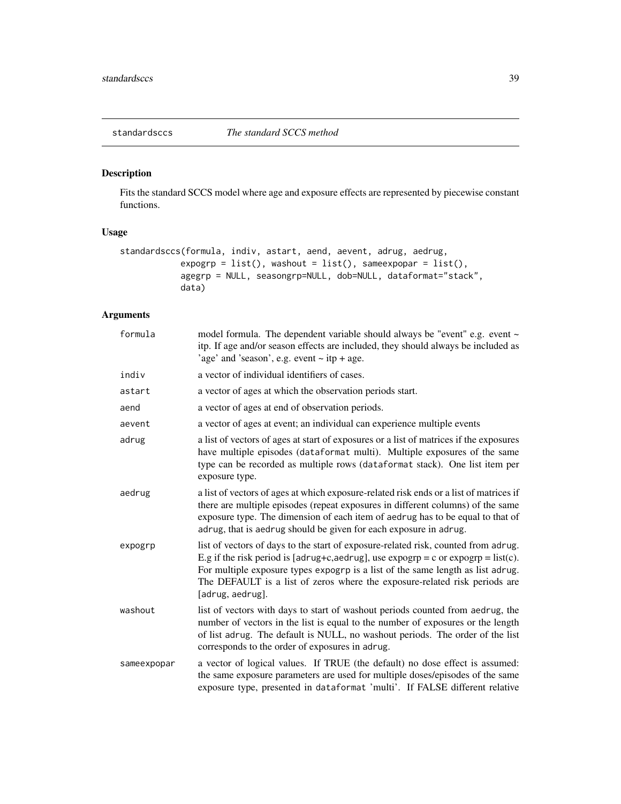<span id="page-38-1"></span><span id="page-38-0"></span>

Fits the standard SCCS model where age and exposure effects are represented by piecewise constant functions.

# Usage

```
standardsccs(formula, indiv, astart, aend, aevent, adrug, aedrug,
            expogrp = list(), washout = list(), sameexpopar = list(),
            agegrp = NULL, seasongrp=NULL, dob=NULL, dataformat="stack",
            data)
```
# Arguments

| formula     | model formula. The dependent variable should always be "event" e.g. event ~<br>itp. If age and/or season effects are included, they should always be included as<br>'age' and 'season', e.g. event $\sim$ itp + age.                                                                                                                                                         |
|-------------|------------------------------------------------------------------------------------------------------------------------------------------------------------------------------------------------------------------------------------------------------------------------------------------------------------------------------------------------------------------------------|
| indiv       | a vector of individual identifiers of cases.                                                                                                                                                                                                                                                                                                                                 |
| astart      | a vector of ages at which the observation periods start.                                                                                                                                                                                                                                                                                                                     |
| aend        | a vector of ages at end of observation periods.                                                                                                                                                                                                                                                                                                                              |
| aevent      | a vector of ages at event; an individual can experience multiple events                                                                                                                                                                                                                                                                                                      |
| adrug       | a list of vectors of ages at start of exposures or a list of matrices if the exposures<br>have multiple episodes (dataformat multi). Multiple exposures of the same<br>type can be recorded as multiple rows (dataformat stack). One list item per<br>exposure type.                                                                                                         |
| aedrug      | a list of vectors of ages at which exposure-related risk ends or a list of matrices if<br>there are multiple episodes (repeat exposures in different columns) of the same<br>exposure type. The dimension of each item of aedrug has to be equal to that of<br>adrug, that is aedrug should be given for each exposure in adrug.                                             |
| expogrp     | list of vectors of days to the start of exposure-related risk, counted from adrug.<br>E.g if the risk period is [adrug+c,aedrug], use $\exp \exp = c$ or $\exp \exp = \text{list}(c)$ .<br>For multiple exposure types expogrp is a list of the same length as list adrug.<br>The DEFAULT is a list of zeros where the exposure-related risk periods are<br>[adrug, aedrug]. |
| washout     | list of vectors with days to start of washout periods counted from aedrug, the<br>number of vectors in the list is equal to the number of exposures or the length<br>of list adrug. The default is NULL, no washout periods. The order of the list<br>corresponds to the order of exposures in adrug.                                                                        |
| sameexpopar | a vector of logical values. If TRUE (the default) no dose effect is assumed:<br>the same exposure parameters are used for multiple doses/episodes of the same<br>exposure type, presented in dataformat 'multi'. If FALSE different relative                                                                                                                                 |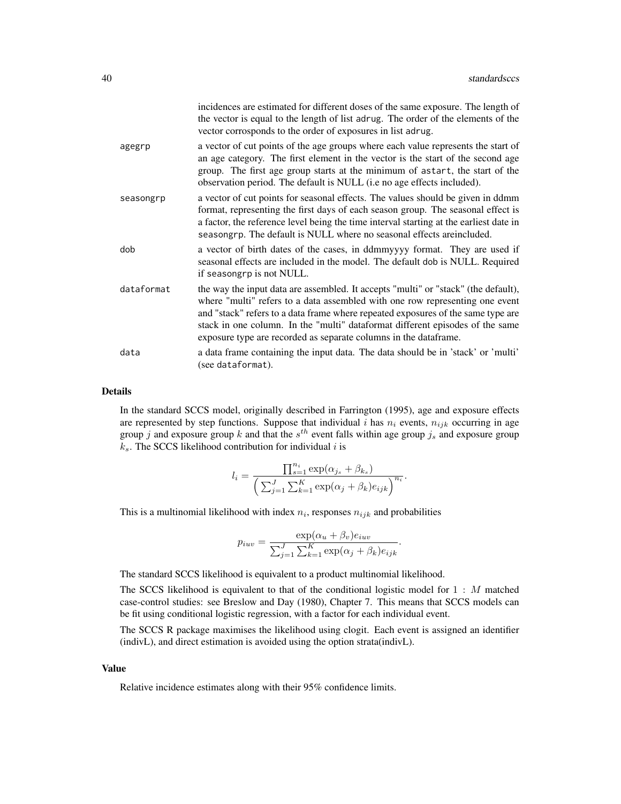|            | incidences are estimated for different doses of the same exposure. The length of<br>the vector is equal to the length of list adrug. The order of the elements of the<br>vector corrosponds to the order of exposures in list adrug.                                                                                                                                                                        |
|------------|-------------------------------------------------------------------------------------------------------------------------------------------------------------------------------------------------------------------------------------------------------------------------------------------------------------------------------------------------------------------------------------------------------------|
| agegrp     | a vector of cut points of the age groups where each value represents the start of<br>an age category. The first element in the vector is the start of the second age<br>group. The first age group starts at the minimum of astart, the start of the<br>observation period. The default is NULL (i.e no age effects included).                                                                              |
| seasongrp  | a vector of cut points for seasonal effects. The values should be given in ddmm<br>format, representing the first days of each season group. The seasonal effect is<br>a factor, the reference level being the time interval starting at the earliest date in<br>seasongrp. The default is NULL where no seasonal effects are included.                                                                     |
| dob        | a vector of birth dates of the cases, in ddmmyyyy format. They are used if<br>seasonal effects are included in the model. The default dob is NULL. Required<br>if seasongrp is not NULL.                                                                                                                                                                                                                    |
| dataformat | the way the input data are assembled. It accepts "multi" or "stack" (the default),<br>where "multi" refers to a data assembled with one row representing one event<br>and "stack" refers to a data frame where repeated exposures of the same type are<br>stack in one column. In the "multi" dataformat different episodes of the same<br>exposure type are recorded as separate columns in the dataframe. |
| data       | a data frame containing the input data. The data should be in 'stack' or 'multi'<br>(see dataformat).                                                                                                                                                                                                                                                                                                       |

# Details

In the standard SCCS model, originally described in Farrington (1995), age and exposure effects are represented by step functions. Suppose that individual i has  $n_i$  events,  $n_{ijk}$  occurring in age group j and exposure group k and that the  $s^{th}$  event falls within age group  $j_s$  and exposure group  $k_s$ . The SCCS likelihood contribution for individual i is

$$
l_i = \frac{\prod_{s=1}^{n_i} \exp(\alpha_{j_s} + \beta_{k_s})}{\left(\sum_{j=1}^J \sum_{k=1}^K \exp(\alpha_j + \beta_k) e_{ijk}\right)^{n_i}}.
$$

This is a multinomial likelihood with index  $n_i$ , responses  $n_{ijk}$  and probabilities

$$
p_{iuv} = \frac{\exp(\alpha_u + \beta_v)e_{iuv}}{\sum_{j=1}^{J} \sum_{k=1}^{K} \exp(\alpha_j + \beta_k)e_{ijk}}.
$$

The standard SCCS likelihood is equivalent to a product multinomial likelihood.

The SCCS likelihood is equivalent to that of the conditional logistic model for 1 : M matched case-control studies: see Breslow and Day (1980), Chapter 7. This means that SCCS models can be fit using conditional logistic regression, with a factor for each individual event.

The SCCS R package maximises the likelihood using clogit. Each event is assigned an identifier (indivL), and direct estimation is avoided using the option strata(indivL).

#### Value

Relative incidence estimates along with their 95% confidence limits.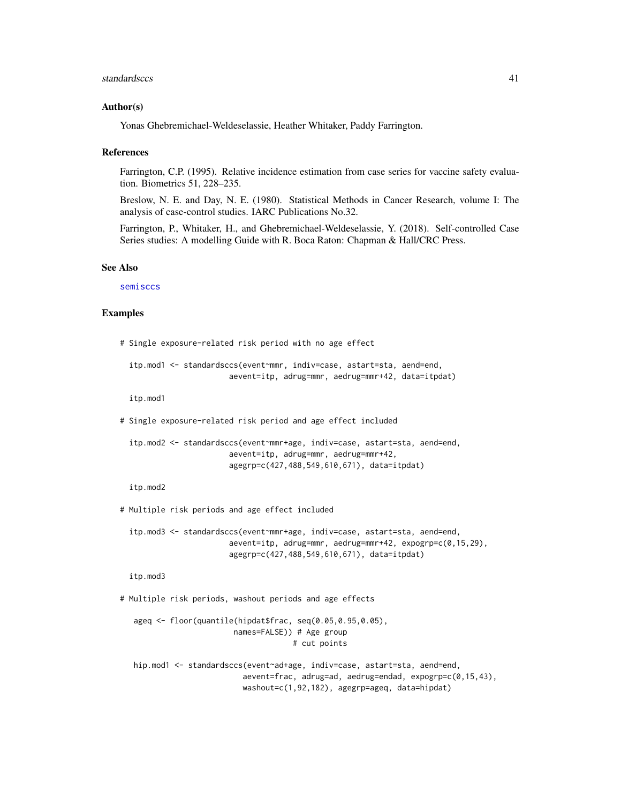#### <span id="page-40-0"></span>standardsccs and the standards of the standards of the standards control of the standards of the standards of the standards of the standards of the standards of the standards of the standards of the standards of the standa

#### Author(s)

Yonas Ghebremichael-Weldeselassie, Heather Whitaker, Paddy Farrington.

#### References

Farrington, C.P. (1995). Relative incidence estimation from case series for vaccine safety evaluation. Biometrics 51, 228–235.

Breslow, N. E. and Day, N. E. (1980). Statistical Methods in Cancer Research, volume I: The analysis of case-control studies. IARC Publications No.32.

Farrington, P., Whitaker, H., and Ghebremichael-Weldeselassie, Y. (2018). Self-controlled Case Series studies: A modelling Guide with R. Boca Raton: Chapman & Hall/CRC Press.

# See Also

[semisccs](#page-29-1)

# Examples

```
# Single exposure-related risk period with no age effect
```

```
itp.mod1 <- standardsccs(event~mmr, indiv=case, astart=sta, aend=end,
                      aevent=itp, adrug=mmr, aedrug=mmr+42, data=itpdat)
```
itp.mod1

# Single exposure-related risk period and age effect included

```
itp.mod2 <- standardsccs(event~mmr+age, indiv=case, astart=sta, aend=end,
                      aevent=itp, adrug=mmr, aedrug=mmr+42,
                      agegrp=c(427,488,549,610,671), data=itpdat)
```
itp.mod2

# Multiple risk periods and age effect included

itp.mod3 <- standardsccs(event~mmr+age, indiv=case, astart=sta, aend=end, aevent=itp, adrug=mmr, aedrug=mmr+42, expogrp=c(0,15,29), agegrp=c(427,488,549,610,671), data=itpdat)

itp.mod3

# Multiple risk periods, washout periods and age effects

ageq <- floor(quantile(hipdat\$frac, seq(0.05,0.95,0.05), names=FALSE)) # Age group # cut points

hip.mod1 <- standardsccs(event~ad+age, indiv=case, astart=sta, aend=end, aevent=frac, adrug=ad, aedrug=endad, expogrp=c(0,15,43), washout=c(1,92,182), agegrp=ageq, data=hipdat)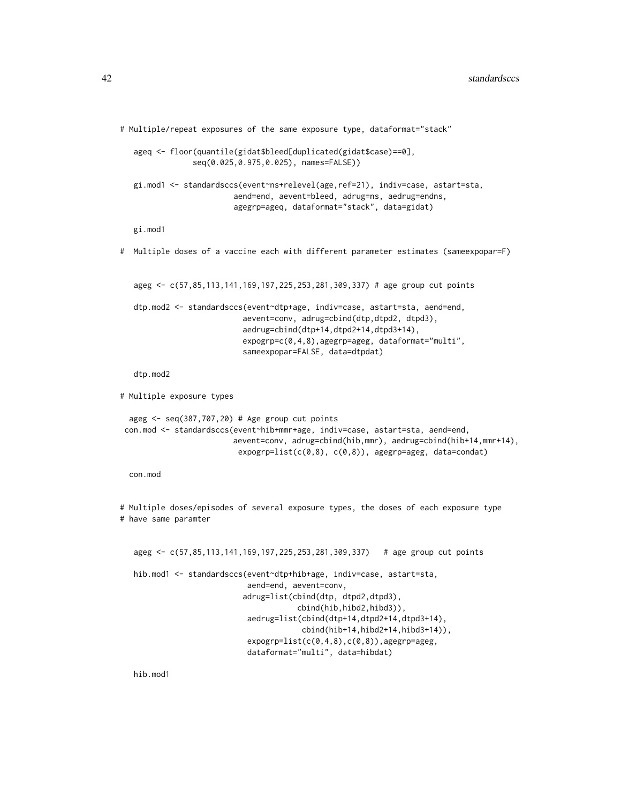```
# Multiple/repeat exposures of the same exposure type, dataformat="stack"
   ageq <- floor(quantile(gidat$bleed[duplicated(gidat$case)==0],
                seq(0.025,0.975,0.025), names=FALSE))
  gi.mod1 <- standardsccs(event~ns+relevel(age,ref=21), indiv=case, astart=sta,
                         aend=end, aevent=bleed, adrug=ns, aedrug=endns,
                         agegrp=ageq, dataformat="stack", data=gidat)
  gi.mod1
# Multiple doses of a vaccine each with different parameter estimates (sameexpopar=F)
  ageg <- c(57,85,113,141,169,197,225,253,281,309,337) # age group cut points
  dtp.mod2 <- standardsccs(event~dtp+age, indiv=case, astart=sta, aend=end,
                           aevent=conv, adrug=cbind(dtp,dtpd2, dtpd3),
                           aedrug=cbind(dtp+14,dtpd2+14,dtpd3+14),
                           expogrp=c(0,4,8),agegrp=ageg, dataformat="multi",
                           sameexpopar=FALSE, data=dtpdat)
  dtp.mod2
# Multiple exposure types
 ageg <- seq(387,707,20) # Age group cut points
 con.mod <- standardsccs(event~hib+mmr+age, indiv=case, astart=sta, aend=end,
                        aevent=conv, adrug=cbind(hib,mmr), aedrug=cbind(hib+14,mmr+14),
                          expogrp=list(c(0,8), c(0,8)), agegrp=ageg, data=condat)
 con.mod
# Multiple doses/episodes of several exposure types, the doses of each exposure type
# have same paramter
  ageg <- c(57,85,113,141,169,197,225,253,281,309,337) # age group cut points
  hib.mod1 <- standardsccs(event~dtp+hib+age, indiv=case, astart=sta,
                            aend=end, aevent=conv,
                           adrug=list(cbind(dtp, dtpd2,dtpd3),
                                       cbind(hib,hibd2,hibd3)),
                            aedrug=list(cbind(dtp+14,dtpd2+14,dtpd3+14),
                                        cbind(hib+14,hibd2+14,hibd3+14)),
                            expogrp=list(c(0,4,8),c(0,8)),agegrp=ageg,
                            dataformat="multi", data=hibdat)
```
hib.mod1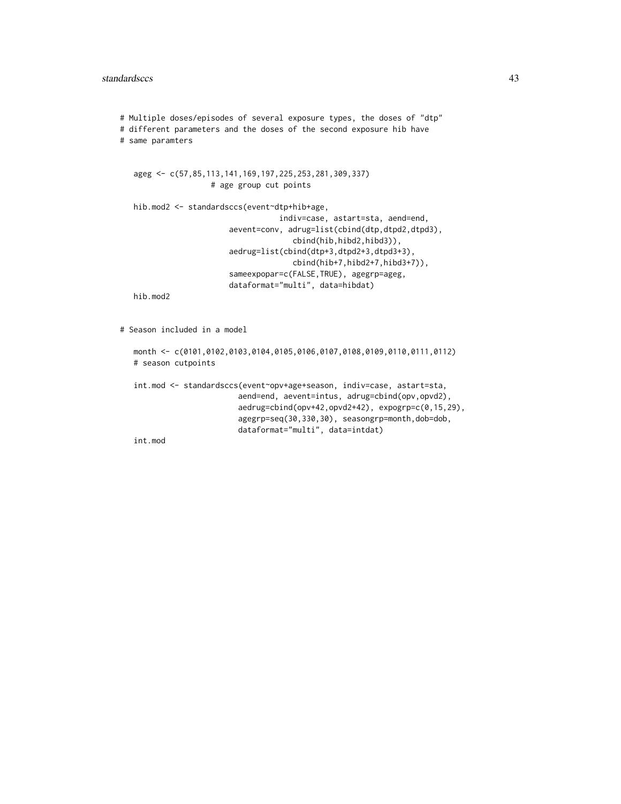```
# Multiple doses/episodes of several exposure types, the doses of "dtp"
# different parameters and the doses of the second exposure hib have
# same paramters
  ageg <- c(57,85,113,141,169,197,225,253,281,309,337)
                    # age group cut points
  hib.mod2 <- standardsccs(event~dtp+hib+age,
                                   indiv=case, astart=sta, aend=end,
                        aevent=conv, adrug=list(cbind(dtp,dtpd2,dtpd3),
                                      cbind(hib,hibd2,hibd3)),
                        aedrug=list(cbind(dtp+3,dtpd2+3,dtpd3+3),
                                      cbind(hib+7,hibd2+7,hibd3+7)),
                        sameexpopar=c(FALSE,TRUE), agegrp=ageg,
                        dataformat="multi", data=hibdat)
  hib.mod2
# Season included in a model
  month <- c(0101,0102,0103,0104,0105,0106,0107,0108,0109,0110,0111,0112)
```
int.mod <- standardsccs(event~opv+age+season, indiv=case, astart=sta, aend=end, aevent=intus, adrug=cbind(opv,opvd2), aedrug=cbind(opv+42,opvd2+42), expogrp=c(0,15,29), agegrp=seq(30,330,30), seasongrp=month,dob=dob, dataformat="multi", data=intdat)

int.mod

# season cutpoints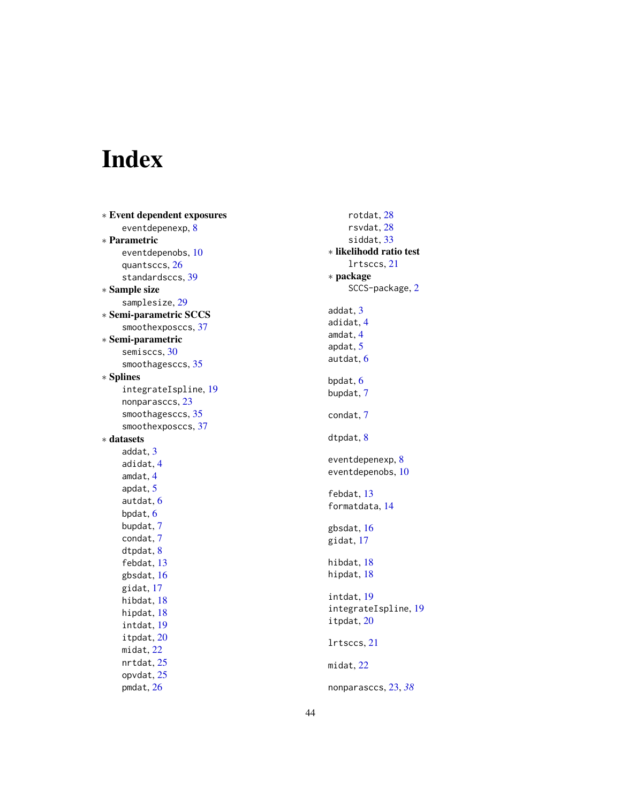# <span id="page-43-0"></span>Index

∗ Event dependent exposures eventdepenexp , [8](#page-7-0) ∗ Parametric eventdepenobs , [10](#page-9-0) quantsccs , [26](#page-25-0) standardsccs , [39](#page-38-0) ∗ Sample size samplesize , [29](#page-28-0) ∗ Semi-parametric SCCS smoothexposccs , [37](#page-36-0) ∗ Semi-parametric semisccs , [30](#page-29-0) smoothagesccs , [35](#page-34-0) ∗ Splines integrateIspline , [19](#page-18-0) nonparasccs , [23](#page-22-0) smoothagesccs , [35](#page-34-0) smoothexposccs , [37](#page-36-0) ∗ datasets addat , [3](#page-2-0) adidat , [4](#page-3-0) amdat , [4](#page-3-0) apdat , [5](#page-4-0) autdat , [6](#page-5-0) bpdat , [6](#page-5-0) bupdat , [7](#page-6-0) condat , [7](#page-6-0) dtpdat , [8](#page-7-0) febdat , [13](#page-12-0) gbsdat , [16](#page-15-0) gidat , [17](#page-16-0) hibdat , [18](#page-17-0) hipdat , [18](#page-17-0) intdat , [19](#page-18-0) itpdat , [20](#page-19-0) midat , [22](#page-21-0) nrtdat , [25](#page-24-0) opvdat , [25](#page-24-0) pmdat , [26](#page-25-0)

rotdat , [28](#page-27-0) rsvdat , [28](#page-27-0) siddat , [33](#page-32-0) ∗ likelihodd ratio test lrtsccs , [21](#page-20-0) ∗ package SCCS-package, [2](#page-1-0) addat , [3](#page-2-0) adidat , [4](#page-3-0) amdat , [4](#page-3-0) apdat , [5](#page-4-0) autdat , [6](#page-5-0) bpdat , [6](#page-5-0) bupdat , [7](#page-6-0) condat , [7](#page-6-0) dtpdat, <mark>[8](#page-7-0)</mark> eventdepenexp, <mark>[8](#page-7-0)</mark> eventdepenobs , [10](#page-9-0) febdat , [13](#page-12-0) formatdata , [14](#page-13-0) gbsdat , [16](#page-15-0) gidat , [17](#page-16-0) hibdat , [18](#page-17-0) hipdat, [18](#page-17-0) intdat , [19](#page-18-0) integrateIspline , [19](#page-18-0) itpdat , [20](#page-19-0) lrtsccs , [21](#page-20-0) midat , [22](#page-21-0) nonparasccs , [23](#page-22-0) , *[38](#page-37-0)*